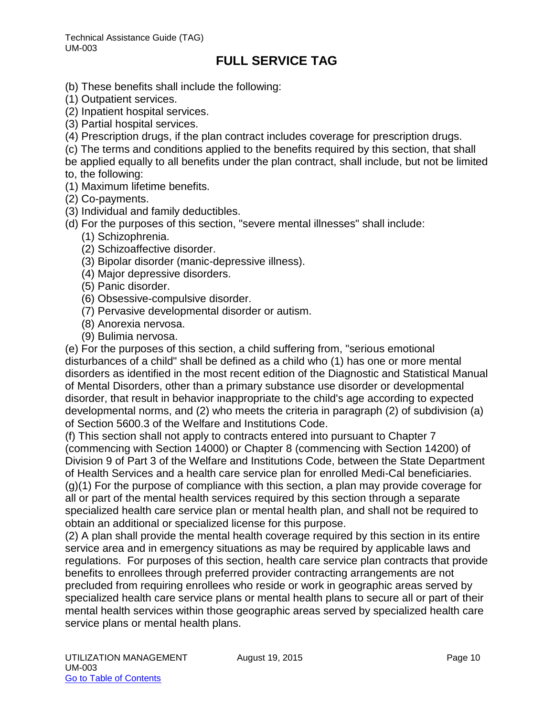- (b) These benefits shall include the following:
- (1) Outpatient services.
- (2) Inpatient hospital services.
- (3) Partial hospital services.
- (4) Prescription drugs, if the plan contract includes coverage for prescription drugs.
- (c) The terms and conditions applied to the benefits required by this section, that shall
- be applied equally to all benefits under the plan contract, shall include, but not be limited to, the following:
- (1) Maximum lifetime benefits.
- (2) Co-payments.
- (3) Individual and family deductibles.
- (d) For the purposes of this section, "severe mental illnesses" shall include:
	- (1) Schizophrenia.
	- (2) Schizoaffective disorder.
	- (3) Bipolar disorder (manic-depressive illness).
	- (4) Major depressive disorders.
	- (5) Panic disorder.
	- (6) Obsessive-compulsive disorder.
	- (7) Pervasive developmental disorder or autism.
	- (8) Anorexia nervosa.
	- (9) Bulimia nervosa.

(e) For the purposes of this section, a child suffering from, "serious emotional disturbances of a child" shall be defined as a child who (1) has one or more mental disorders as identified in the most recent edition of the Diagnostic and Statistical Manual of Mental Disorders, other than a primary substance use disorder or developmental disorder, that result in behavior inappropriate to the child's age according to expected developmental norms, and (2) who meets the criteria in paragraph (2) of subdivision (a) of Section 5600.3 of the Welfare and Institutions Code.

(f) This section shall not apply to contracts entered into pursuant to Chapter 7 (commencing with Section 14000) or Chapter 8 (commencing with Section 14200) of Division 9 of Part 3 of the Welfare and Institutions Code, between the State Department of Health Services and a health care service plan for enrolled Medi-Cal beneficiaries. (g)(1) For the purpose of compliance with this section, a plan may provide coverage for all or part of the mental health services required by this section through a separate specialized health care service plan or mental health plan, and shall not be required to obtain an additional or specialized license for this purpose.

(2) A plan shall provide the mental health coverage required by this section in its entire service area and in emergency situations as may be required by applicable laws and regulations. For purposes of this section, health care service plan contracts that provide benefits to enrollees through preferred provider contracting arrangements are not precluded from requiring enrollees who reside or work in geographic areas served by specialized health care service plans or mental health plans to secure all or part of their mental health services within those geographic areas served by specialized health care service plans or mental health plans.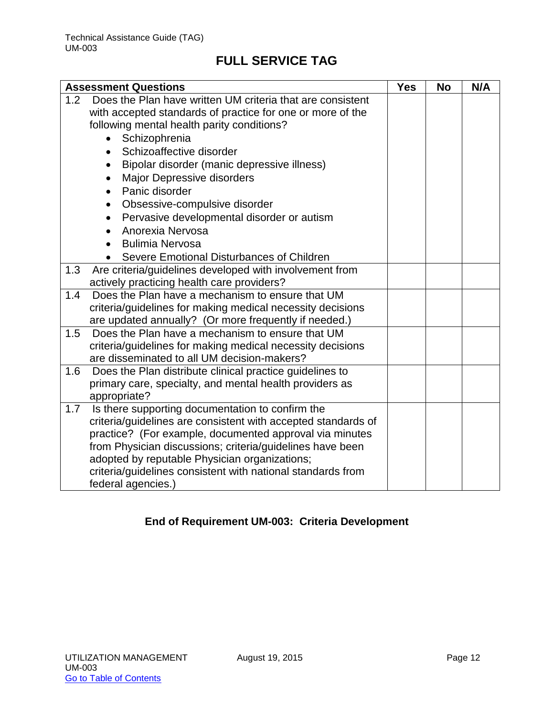|     | <b>Assessment Questions</b>                                                                                                                                                                                                                                | <b>Yes</b> | <b>No</b> | N/A |
|-----|------------------------------------------------------------------------------------------------------------------------------------------------------------------------------------------------------------------------------------------------------------|------------|-----------|-----|
| 1.2 | Does the Plan have written UM criteria that are consistent                                                                                                                                                                                                 |            |           |     |
|     | with accepted standards of practice for one or more of the                                                                                                                                                                                                 |            |           |     |
|     | following mental health parity conditions?                                                                                                                                                                                                                 |            |           |     |
|     | Schizophrenia                                                                                                                                                                                                                                              |            |           |     |
|     | Schizoaffective disorder<br>$\bullet$                                                                                                                                                                                                                      |            |           |     |
|     | Bipolar disorder (manic depressive illness)<br>$\bullet$                                                                                                                                                                                                   |            |           |     |
|     | Major Depressive disorders                                                                                                                                                                                                                                 |            |           |     |
|     | Panic disorder<br>$\bullet$                                                                                                                                                                                                                                |            |           |     |
|     | Obsessive-compulsive disorder                                                                                                                                                                                                                              |            |           |     |
|     | Pervasive developmental disorder or autism                                                                                                                                                                                                                 |            |           |     |
|     | Anorexia Nervosa                                                                                                                                                                                                                                           |            |           |     |
|     | <b>Bulimia Nervosa</b>                                                                                                                                                                                                                                     |            |           |     |
|     | Severe Emotional Disturbances of Children                                                                                                                                                                                                                  |            |           |     |
| 1.3 | Are criteria/guidelines developed with involvement from                                                                                                                                                                                                    |            |           |     |
|     | actively practicing health care providers?                                                                                                                                                                                                                 |            |           |     |
| 1.4 | Does the Plan have a mechanism to ensure that UM                                                                                                                                                                                                           |            |           |     |
|     | criteria/guidelines for making medical necessity decisions                                                                                                                                                                                                 |            |           |     |
|     | are updated annually? (Or more frequently if needed.)                                                                                                                                                                                                      |            |           |     |
| 1.5 | Does the Plan have a mechanism to ensure that UM                                                                                                                                                                                                           |            |           |     |
|     | criteria/guidelines for making medical necessity decisions                                                                                                                                                                                                 |            |           |     |
|     | are disseminated to all UM decision-makers?                                                                                                                                                                                                                |            |           |     |
| 1.6 | Does the Plan distribute clinical practice guidelines to                                                                                                                                                                                                   |            |           |     |
|     | primary care, specialty, and mental health providers as                                                                                                                                                                                                    |            |           |     |
| 1.7 | appropriate?<br>Is there supporting documentation to confirm the                                                                                                                                                                                           |            |           |     |
|     | criteria/guidelines are consistent with accepted standards of                                                                                                                                                                                              |            |           |     |
|     |                                                                                                                                                                                                                                                            |            |           |     |
|     |                                                                                                                                                                                                                                                            |            |           |     |
|     |                                                                                                                                                                                                                                                            |            |           |     |
|     |                                                                                                                                                                                                                                                            |            |           |     |
|     |                                                                                                                                                                                                                                                            |            |           |     |
|     | practice? (For example, documented approval via minutes<br>from Physician discussions; criteria/guidelines have been<br>adopted by reputable Physician organizations;<br>criteria/guidelines consistent with national standards from<br>federal agencies.) |            |           |     |

## **End of Requirement UM-003: Criteria Development**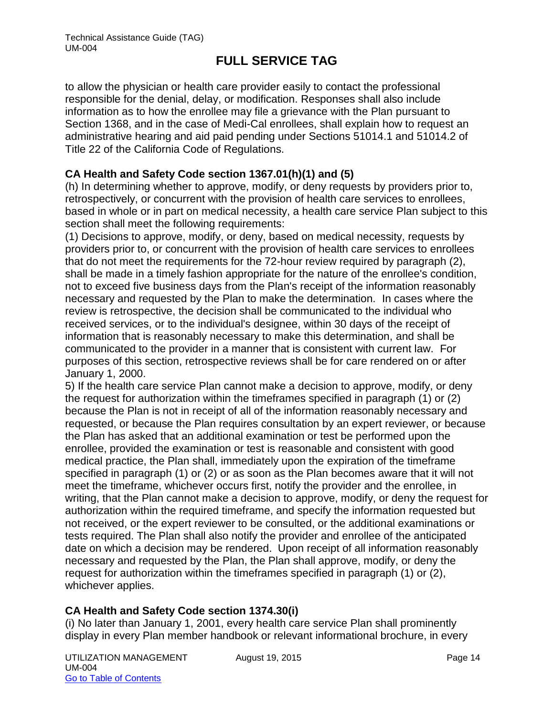to allow the physician or health care provider easily to contact the professional responsible for the denial, delay, or modification. Responses shall also include information as to how the enrollee may file a grievance with the Plan pursuant to Section 1368, and in the case of Medi-Cal enrollees, shall explain how to request an administrative hearing and aid paid pending under Sections 51014.1 and 51014.2 of Title 22 of the California Code of Regulations.

## **CA Health and Safety Code section 1367.01(h)(1) and (5)**

(h) In determining whether to approve, modify, or deny requests by providers prior to, retrospectively, or concurrent with the provision of health care services to enrollees, based in whole or in part on medical necessity, a health care service Plan subject to this section shall meet the following requirements:

(1) Decisions to approve, modify, or deny, based on medical necessity, requests by providers prior to, or concurrent with the provision of health care services to enrollees that do not meet the requirements for the 72-hour review required by paragraph (2), shall be made in a timely fashion appropriate for the nature of the enrollee's condition, not to exceed five business days from the Plan's receipt of the information reasonably necessary and requested by the Plan to make the determination. In cases where the review is retrospective, the decision shall be communicated to the individual who received services, or to the individual's designee, within 30 days of the receipt of information that is reasonably necessary to make this determination, and shall be communicated to the provider in a manner that is consistent with current law. For purposes of this section, retrospective reviews shall be for care rendered on or after January 1, 2000.

5) If the health care service Plan cannot make a decision to approve, modify, or deny the request for authorization within the timeframes specified in paragraph (1) or (2) because the Plan is not in receipt of all of the information reasonably necessary and requested, or because the Plan requires consultation by an expert reviewer, or because the Plan has asked that an additional examination or test be performed upon the enrollee, provided the examination or test is reasonable and consistent with good medical practice, the Plan shall, immediately upon the expiration of the timeframe specified in paragraph (1) or (2) or as soon as the Plan becomes aware that it will not meet the timeframe, whichever occurs first, notify the provider and the enrollee, in writing, that the Plan cannot make a decision to approve, modify, or deny the request for authorization within the required timeframe, and specify the information requested but not received, or the expert reviewer to be consulted, or the additional examinations or tests required. The Plan shall also notify the provider and enrollee of the anticipated date on which a decision may be rendered. Upon receipt of all information reasonably necessary and requested by the Plan, the Plan shall approve, modify, or deny the request for authorization within the timeframes specified in paragraph (1) or (2), whichever applies.

## **CA Health and Safety Code section 1374.30(i)**

(i) No later than January 1, 2001, every health care service Plan shall prominently display in every Plan member handbook or relevant informational brochure, in every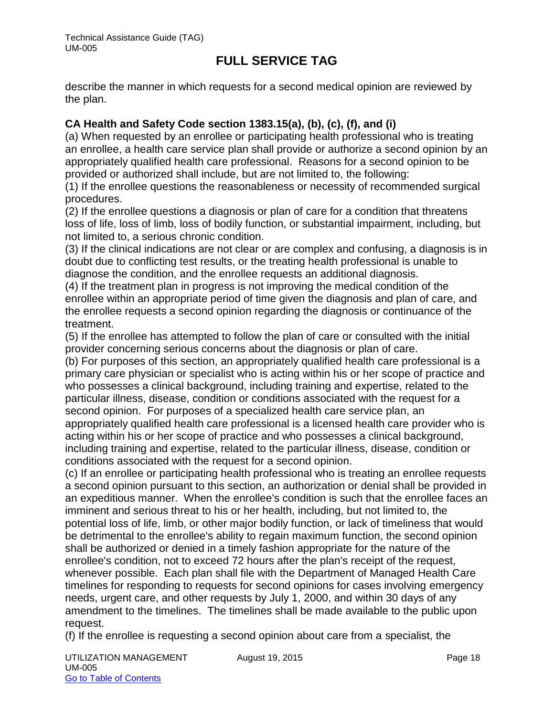describe the manner in which requests for a second medical opinion are reviewed by the plan.

## **CA Health and Safety Code section 1383.15(a), (b), (c), (f), and (i)**

(a) When requested by an enrollee or participating health professional who is treating an enrollee, a health care service plan shall provide or authorize a second opinion by an appropriately qualified health care professional. Reasons for a second opinion to be provided or authorized shall include, but are not limited to, the following:

(1) If the enrollee questions the reasonableness or necessity of recommended surgical procedures.

(2) If the enrollee questions a diagnosis or plan of care for a condition that threatens loss of life, loss of limb, loss of bodily function, or substantial impairment, including, but not limited to, a serious chronic condition.

(3) If the clinical indications are not clear or are complex and confusing, a diagnosis is in doubt due to conflicting test results, or the treating health professional is unable to diagnose the condition, and the enrollee requests an additional diagnosis.

(4) If the treatment plan in progress is not improving the medical condition of the enrollee within an appropriate period of time given the diagnosis and plan of care, and the enrollee requests a second opinion regarding the diagnosis or continuance of the treatment.

(5) If the enrollee has attempted to follow the plan of care or consulted with the initial provider concerning serious concerns about the diagnosis or plan of care.

(b) For purposes of this section, an appropriately qualified health care professional is a primary care physician or specialist who is acting within his or her scope of practice and who possesses a clinical background, including training and expertise, related to the particular illness, disease, condition or conditions associated with the request for a second opinion. For purposes of a specialized health care service plan, an appropriately qualified health care professional is a licensed health care provider who is acting within his or her scope of practice and who possesses a clinical background, including training and expertise, related to the particular illness, disease, condition or conditions associated with the request for a second opinion.

(c) If an enrollee or participating health professional who is treating an enrollee requests a second opinion pursuant to this section, an authorization or denial shall be provided in an expeditious manner. When the enrollee's condition is such that the enrollee faces an imminent and serious threat to his or her health, including, but not limited to, the potential loss of life, limb, or other major bodily function, or lack of timeliness that would be detrimental to the enrollee's ability to regain maximum function, the second opinion shall be authorized or denied in a timely fashion appropriate for the nature of the enrollee's condition, not to exceed 72 hours after the plan's receipt of the request, whenever possible. Each plan shall file with the Department of Managed Health Care timelines for responding to requests for second opinions for cases involving emergency needs, urgent care, and other requests by July 1, 2000, and within 30 days of any amendment to the timelines. The timelines shall be made available to the public upon request.

(f) If the enrollee is requesting a second opinion about care from a specialist, the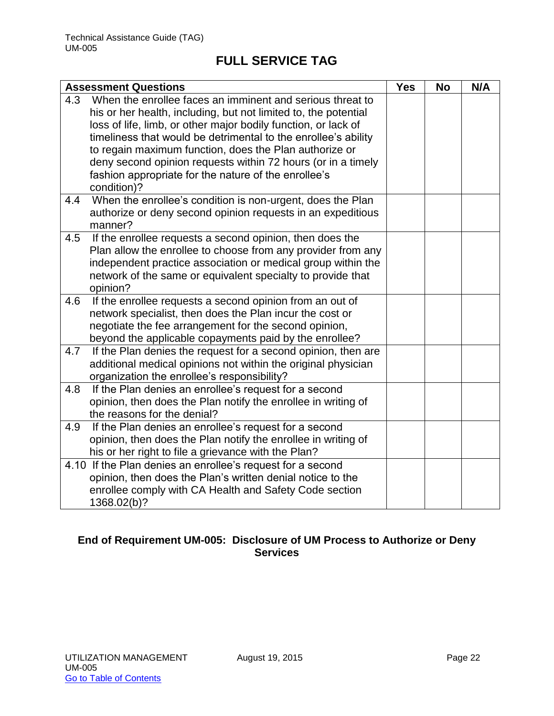|     | <b>Assessment Questions</b>                                                                                       | <b>Yes</b> | <b>No</b> | N/A |
|-----|-------------------------------------------------------------------------------------------------------------------|------------|-----------|-----|
| 4.3 | When the enrollee faces an imminent and serious threat to                                                         |            |           |     |
|     | his or her health, including, but not limited to, the potential                                                   |            |           |     |
|     | loss of life, limb, or other major bodily function, or lack of                                                    |            |           |     |
|     | timeliness that would be detrimental to the enrollee's ability                                                    |            |           |     |
|     | to regain maximum function, does the Plan authorize or                                                            |            |           |     |
|     | deny second opinion requests within 72 hours (or in a timely                                                      |            |           |     |
|     | fashion appropriate for the nature of the enrollee's                                                              |            |           |     |
|     | condition)?                                                                                                       |            |           |     |
| 4.4 | When the enrollee's condition is non-urgent, does the Plan                                                        |            |           |     |
|     | authorize or deny second opinion requests in an expeditious                                                       |            |           |     |
|     | manner?                                                                                                           |            |           |     |
| 4.5 | If the enrollee requests a second opinion, then does the                                                          |            |           |     |
|     | Plan allow the enrollee to choose from any provider from any                                                      |            |           |     |
|     | independent practice association or medical group within the                                                      |            |           |     |
|     | network of the same or equivalent specialty to provide that                                                       |            |           |     |
|     | opinion?                                                                                                          |            |           |     |
| 4.6 | If the enrollee requests a second opinion from an out of                                                          |            |           |     |
|     | network specialist, then does the Plan incur the cost or                                                          |            |           |     |
|     | negotiate the fee arrangement for the second opinion,                                                             |            |           |     |
|     | beyond the applicable copayments paid by the enrollee?                                                            |            |           |     |
| 4.7 | If the Plan denies the request for a second opinion, then are                                                     |            |           |     |
|     | additional medical opinions not within the original physician                                                     |            |           |     |
|     | organization the enrollee's responsibility?                                                                       |            |           |     |
| 4.8 | If the Plan denies an enrollee's request for a second                                                             |            |           |     |
|     | opinion, then does the Plan notify the enrollee in writing of                                                     |            |           |     |
|     | the reasons for the denial?                                                                                       |            |           |     |
| 4.9 | If the Plan denies an enrollee's request for a second                                                             |            |           |     |
|     | opinion, then does the Plan notify the enrollee in writing of                                                     |            |           |     |
|     | his or her right to file a grievance with the Plan?<br>4.10 If the Plan denies an enrollee's request for a second |            |           |     |
|     | opinion, then does the Plan's written denial notice to the                                                        |            |           |     |
|     | enrollee comply with CA Health and Safety Code section                                                            |            |           |     |
|     |                                                                                                                   |            |           |     |
|     | 1368.02(b)?                                                                                                       |            |           |     |

## **End of Requirement UM-005: Disclosure of UM Process to Authorize or Deny Services**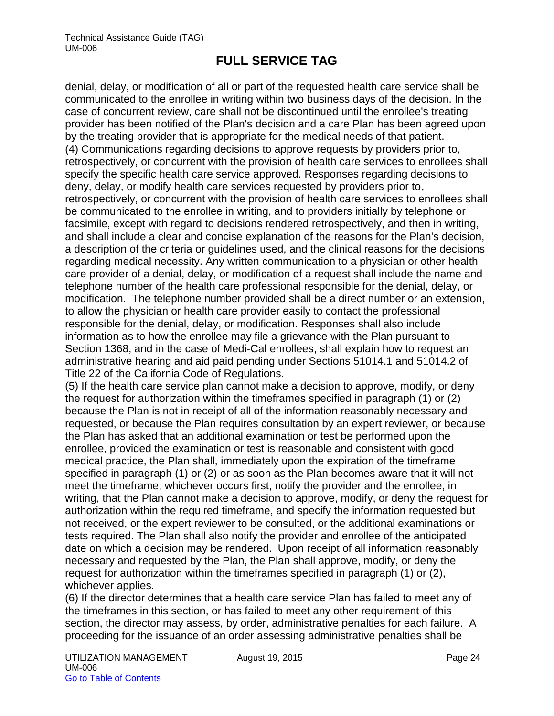denial, delay, or modification of all or part of the requested health care service shall be communicated to the enrollee in writing within two business days of the decision. In the case of concurrent review, care shall not be discontinued until the enrollee's treating provider has been notified of the Plan's decision and a care Plan has been agreed upon by the treating provider that is appropriate for the medical needs of that patient. (4) Communications regarding decisions to approve requests by providers prior to, retrospectively, or concurrent with the provision of health care services to enrollees shall specify the specific health care service approved. Responses regarding decisions to deny, delay, or modify health care services requested by providers prior to, retrospectively, or concurrent with the provision of health care services to enrollees shall be communicated to the enrollee in writing, and to providers initially by telephone or facsimile, except with regard to decisions rendered retrospectively, and then in writing, and shall include a clear and concise explanation of the reasons for the Plan's decision, a description of the criteria or guidelines used, and the clinical reasons for the decisions regarding medical necessity. Any written communication to a physician or other health care provider of a denial, delay, or modification of a request shall include the name and telephone number of the health care professional responsible for the denial, delay, or modification. The telephone number provided shall be a direct number or an extension, to allow the physician or health care provider easily to contact the professional responsible for the denial, delay, or modification. Responses shall also include information as to how the enrollee may file a grievance with the Plan pursuant to Section 1368, and in the case of Medi-Cal enrollees, shall explain how to request an administrative hearing and aid paid pending under Sections 51014.1 and 51014.2 of Title 22 of the California Code of Regulations.

(5) If the health care service plan cannot make a decision to approve, modify, or deny the request for authorization within the timeframes specified in paragraph (1) or (2) because the Plan is not in receipt of all of the information reasonably necessary and requested, or because the Plan requires consultation by an expert reviewer, or because the Plan has asked that an additional examination or test be performed upon the enrollee, provided the examination or test is reasonable and consistent with good medical practice, the Plan shall, immediately upon the expiration of the timeframe specified in paragraph (1) or (2) or as soon as the Plan becomes aware that it will not meet the timeframe, whichever occurs first, notify the provider and the enrollee, in writing, that the Plan cannot make a decision to approve, modify, or deny the request for authorization within the required timeframe, and specify the information requested but not received, or the expert reviewer to be consulted, or the additional examinations or tests required. The Plan shall also notify the provider and enrollee of the anticipated date on which a decision may be rendered. Upon receipt of all information reasonably necessary and requested by the Plan, the Plan shall approve, modify, or deny the request for authorization within the timeframes specified in paragraph (1) or (2), whichever applies.

(6) If the director determines that a health care service Plan has failed to meet any of the timeframes in this section, or has failed to meet any other requirement of this section, the director may assess, by order, administrative penalties for each failure. A proceeding for the issuance of an order assessing administrative penalties shall be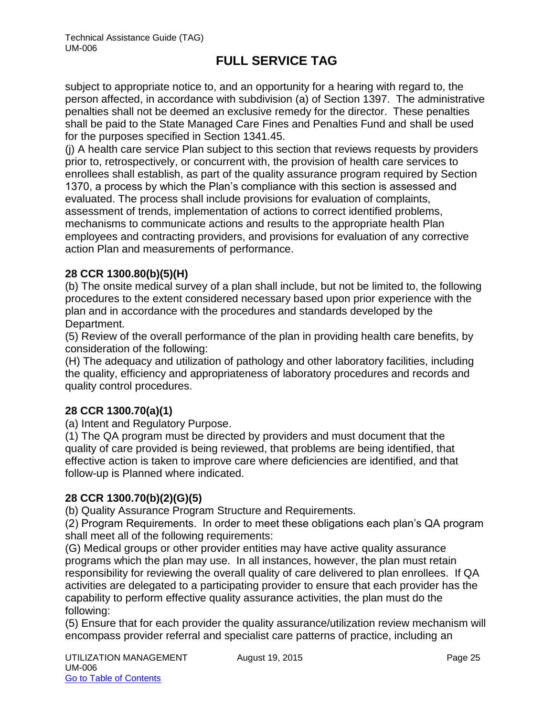subject to appropriate notice to, and an opportunity for a hearing with regard to, the person affected, in accordance with subdivision (a) of Section 1397. The administrative penalties shall not be deemed an exclusive remedy for the director. These penalties shall be paid to the State Managed Care Fines and Penalties Fund and shall be used for the purposes specified in Section 1341.45.

(j) A health care service Plan subject to this section that reviews requests by providers prior to, retrospectively, or concurrent with, the provision of health care services to enrollees shall establish, as part of the quality assurance program required by Section 1370, a process by which the Plan's compliance with this section is assessed and evaluated. The process shall include provisions for evaluation of complaints, assessment of trends, implementation of actions to correct identified problems, mechanisms to communicate actions and results to the appropriate health Plan employees and contracting providers, and provisions for evaluation of any corrective action Plan and measurements of performance.

## **28 CCR 1300.80(b)(5)(H)**

(b) The onsite medical survey of a plan shall include, but not be limited to, the following procedures to the extent considered necessary based upon prior experience with the plan and in accordance with the procedures and standards developed by the Department.

(5) Review of the overall performance of the plan in providing health care benefits, by consideration of the following:

(H) The adequacy and utilization of pathology and other laboratory facilities, including the quality, efficiency and appropriateness of laboratory procedures and records and quality control procedures.

## **28 CCR 1300.70(a)(1)**

(a) Intent and Regulatory Purpose.

(1) The QA program must be directed by providers and must document that the quality of care provided is being reviewed, that problems are being identified, that effective action is taken to improve care where deficiencies are identified, and that follow-up is Planned where indicated.

#### **28 CCR 1300.70(b)(2)(G)(5)**

(b) Quality Assurance Program Structure and Requirements.

(2) Program Requirements. In order to meet these obligations each plan's QA program shall meet all of the following requirements:

(G) Medical groups or other provider entities may have active quality assurance programs which the plan may use. In all instances, however, the plan must retain responsibility for reviewing the overall quality of care delivered to plan enrollees. If QA activities are delegated to a participating provider to ensure that each provider has the capability to perform effective quality assurance activities, the plan must do the following:

(5) Ensure that for each provider the quality assurance/utilization review mechanism will encompass provider referral and specialist care patterns of practice, including an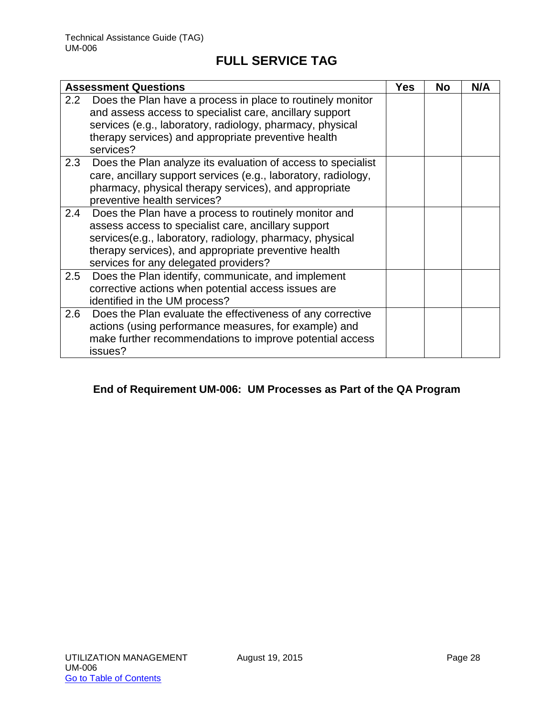|               | <b>Assessment Questions</b>                                                                                                                                                                                                                                               | Yes | <b>No</b> | N/A |
|---------------|---------------------------------------------------------------------------------------------------------------------------------------------------------------------------------------------------------------------------------------------------------------------------|-----|-----------|-----|
| $2.2^{\circ}$ | Does the Plan have a process in place to routinely monitor<br>and assess access to specialist care, ancillary support<br>services (e.g., laboratory, radiology, pharmacy, physical<br>therapy services) and appropriate preventive health<br>services?                    |     |           |     |
| 2.3           | Does the Plan analyze its evaluation of access to specialist<br>care, ancillary support services (e.g., laboratory, radiology,<br>pharmacy, physical therapy services), and appropriate<br>preventive health services?                                                    |     |           |     |
| 2.4           | Does the Plan have a process to routinely monitor and<br>assess access to specialist care, ancillary support<br>services(e.g., laboratory, radiology, pharmacy, physical<br>therapy services), and appropriate preventive health<br>services for any delegated providers? |     |           |     |
| 2.5           | Does the Plan identify, communicate, and implement<br>corrective actions when potential access issues are<br>identified in the UM process?                                                                                                                                |     |           |     |
| 2.6           | Does the Plan evaluate the effectiveness of any corrective<br>actions (using performance measures, for example) and<br>make further recommendations to improve potential access<br>issues?                                                                                |     |           |     |

## **End of Requirement UM-006: UM Processes as Part of the QA Program**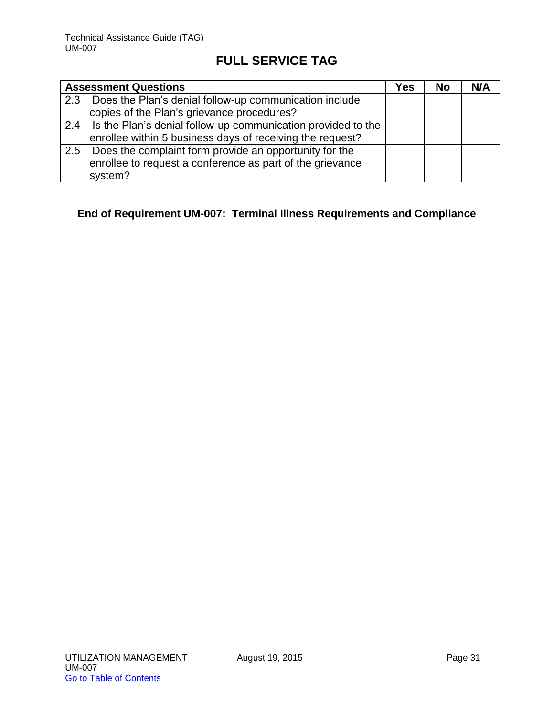|     | <b>Assessment Questions</b>                                  | Yes | <b>No</b> | N/A |
|-----|--------------------------------------------------------------|-----|-----------|-----|
| 2.3 | Does the Plan's denial follow-up communication include       |     |           |     |
|     | copies of the Plan's grievance procedures?                   |     |           |     |
| 2.4 | Is the Plan's denial follow-up communication provided to the |     |           |     |
|     | enrollee within 5 business days of receiving the request?    |     |           |     |
| 2.5 | Does the complaint form provide an opportunity for the       |     |           |     |
|     | enrollee to request a conference as part of the grievance    |     |           |     |
|     | system?                                                      |     |           |     |

## **End of Requirement UM-007: Terminal Illness Requirements and Compliance**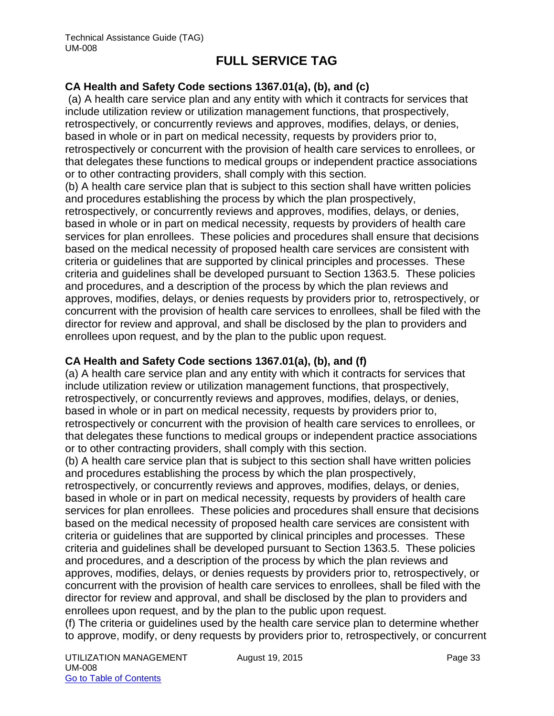## **CA Health and Safety Code sections 1367.01(a), (b), and (c)**

(a) A health care service plan and any entity with which it contracts for services that include utilization review or utilization management functions, that prospectively, retrospectively, or concurrently reviews and approves, modifies, delays, or denies, based in whole or in part on medical necessity, requests by providers prior to, retrospectively or concurrent with the provision of health care services to enrollees, or that delegates these functions to medical groups or independent practice associations or to other contracting providers, shall comply with this section.

(b) A health care service plan that is subject to this section shall have written policies and procedures establishing the process by which the plan prospectively, retrospectively, or concurrently reviews and approves, modifies, delays, or denies, based in whole or in part on medical necessity, requests by providers of health care services for plan enrollees. These policies and procedures shall ensure that decisions based on the medical necessity of proposed health care services are consistent with criteria or guidelines that are supported by clinical principles and processes. These criteria and guidelines shall be developed pursuant to Section 1363.5. These policies and procedures, and a description of the process by which the plan reviews and approves, modifies, delays, or denies requests by providers prior to, retrospectively, or concurrent with the provision of health care services to enrollees, shall be filed with the director for review and approval, and shall be disclosed by the plan to providers and enrollees upon request, and by the plan to the public upon request.

#### **CA Health and Safety Code sections 1367.01(a), (b), and (f)**

(a) A health care service plan and any entity with which it contracts for services that include utilization review or utilization management functions, that prospectively, retrospectively, or concurrently reviews and approves, modifies, delays, or denies, based in whole or in part on medical necessity, requests by providers prior to, retrospectively or concurrent with the provision of health care services to enrollees, or that delegates these functions to medical groups or independent practice associations or to other contracting providers, shall comply with this section.

(b) A health care service plan that is subject to this section shall have written policies and procedures establishing the process by which the plan prospectively, retrospectively, or concurrently reviews and approves, modifies, delays, or denies, based in whole or in part on medical necessity, requests by providers of health care services for plan enrollees. These policies and procedures shall ensure that decisions based on the medical necessity of proposed health care services are consistent with criteria or guidelines that are supported by clinical principles and processes. These criteria and guidelines shall be developed pursuant to Section 1363.5. These policies and procedures, and a description of the process by which the plan reviews and approves, modifies, delays, or denies requests by providers prior to, retrospectively, or concurrent with the provision of health care services to enrollees, shall be filed with the director for review and approval, and shall be disclosed by the plan to providers and enrollees upon request, and by the plan to the public upon request.

(f) The criteria or guidelines used by the health care service plan to determine whether to approve, modify, or deny requests by providers prior to, retrospectively, or concurrent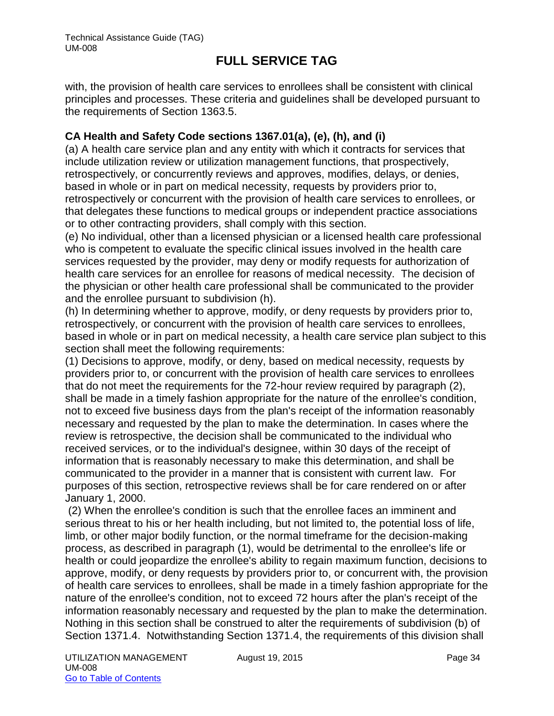with, the provision of health care services to enrollees shall be consistent with clinical principles and processes. These criteria and guidelines shall be developed pursuant to the requirements of Section 1363.5.

### **CA Health and Safety Code sections 1367.01(a), (e), (h), and (i)**

(a) A health care service plan and any entity with which it contracts for services that include utilization review or utilization management functions, that prospectively, retrospectively, or concurrently reviews and approves, modifies, delays, or denies, based in whole or in part on medical necessity, requests by providers prior to, retrospectively or concurrent with the provision of health care services to enrollees, or that delegates these functions to medical groups or independent practice associations or to other contracting providers, shall comply with this section.

(e) No individual, other than a licensed physician or a licensed health care professional who is competent to evaluate the specific clinical issues involved in the health care services requested by the provider, may deny or modify requests for authorization of health care services for an enrollee for reasons of medical necessity. The decision of the physician or other health care professional shall be communicated to the provider and the enrollee pursuant to subdivision (h).

(h) In determining whether to approve, modify, or deny requests by providers prior to, retrospectively, or concurrent with the provision of health care services to enrollees, based in whole or in part on medical necessity, a health care service plan subject to this section shall meet the following requirements:

(1) Decisions to approve, modify, or deny, based on medical necessity, requests by providers prior to, or concurrent with the provision of health care services to enrollees that do not meet the requirements for the 72-hour review required by paragraph (2), shall be made in a timely fashion appropriate for the nature of the enrollee's condition, not to exceed five business days from the plan's receipt of the information reasonably necessary and requested by the plan to make the determination. In cases where the review is retrospective, the decision shall be communicated to the individual who received services, or to the individual's designee, within 30 days of the receipt of information that is reasonably necessary to make this determination, and shall be communicated to the provider in a manner that is consistent with current law. For purposes of this section, retrospective reviews shall be for care rendered on or after January 1, 2000.

(2) When the enrollee's condition is such that the enrollee faces an imminent and serious threat to his or her health including, but not limited to, the potential loss of life, limb, or other major bodily function, or the normal timeframe for the decision-making process, as described in paragraph (1), would be detrimental to the enrollee's life or health or could jeopardize the enrollee's ability to regain maximum function, decisions to approve, modify, or deny requests by providers prior to, or concurrent with, the provision of health care services to enrollees, shall be made in a timely fashion appropriate for the nature of the enrollee's condition, not to exceed 72 hours after the plan's receipt of the information reasonably necessary and requested by the plan to make the determination. Nothing in this section shall be construed to alter the requirements of subdivision (b) of Section 1371.4. Notwithstanding Section 1371.4, the requirements of this division shall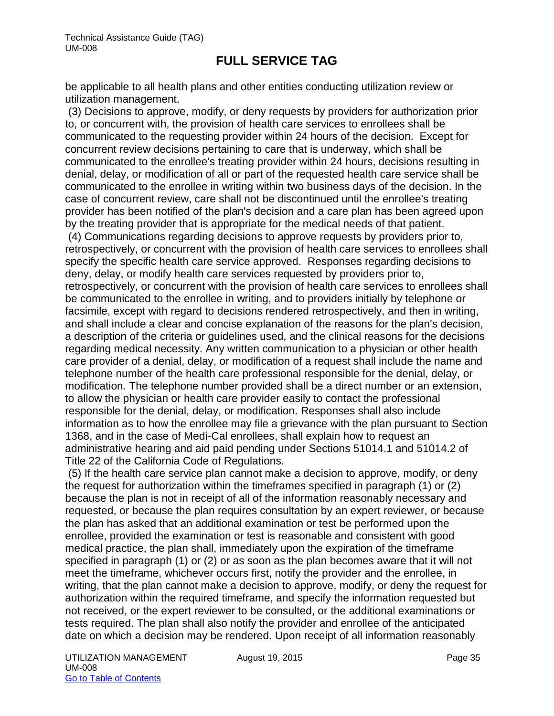be applicable to all health plans and other entities conducting utilization review or utilization management.

(3) Decisions to approve, modify, or deny requests by providers for authorization prior to, or concurrent with, the provision of health care services to enrollees shall be communicated to the requesting provider within 24 hours of the decision. Except for concurrent review decisions pertaining to care that is underway, which shall be communicated to the enrollee's treating provider within 24 hours, decisions resulting in denial, delay, or modification of all or part of the requested health care service shall be communicated to the enrollee in writing within two business days of the decision. In the case of concurrent review, care shall not be discontinued until the enrollee's treating provider has been notified of the plan's decision and a care plan has been agreed upon by the treating provider that is appropriate for the medical needs of that patient.

(4) Communications regarding decisions to approve requests by providers prior to, retrospectively, or concurrent with the provision of health care services to enrollees shall specify the specific health care service approved. Responses regarding decisions to deny, delay, or modify health care services requested by providers prior to, retrospectively, or concurrent with the provision of health care services to enrollees shall be communicated to the enrollee in writing, and to providers initially by telephone or facsimile, except with regard to decisions rendered retrospectively, and then in writing, and shall include a clear and concise explanation of the reasons for the plan's decision, a description of the criteria or guidelines used, and the clinical reasons for the decisions regarding medical necessity. Any written communication to a physician or other health care provider of a denial, delay, or modification of a request shall include the name and telephone number of the health care professional responsible for the denial, delay, or modification. The telephone number provided shall be a direct number or an extension, to allow the physician or health care provider easily to contact the professional responsible for the denial, delay, or modification. Responses shall also include information as to how the enrollee may file a grievance with the plan pursuant to Section 1368, and in the case of Medi-Cal enrollees, shall explain how to request an administrative hearing and aid paid pending under Sections 51014.1 and 51014.2 of Title 22 of the California Code of Regulations.

(5) If the health care service plan cannot make a decision to approve, modify, or deny the request for authorization within the timeframes specified in paragraph (1) or (2) because the plan is not in receipt of all of the information reasonably necessary and requested, or because the plan requires consultation by an expert reviewer, or because the plan has asked that an additional examination or test be performed upon the enrollee, provided the examination or test is reasonable and consistent with good medical practice, the plan shall, immediately upon the expiration of the timeframe specified in paragraph (1) or (2) or as soon as the plan becomes aware that it will not meet the timeframe, whichever occurs first, notify the provider and the enrollee, in writing, that the plan cannot make a decision to approve, modify, or deny the request for authorization within the required timeframe, and specify the information requested but not received, or the expert reviewer to be consulted, or the additional examinations or tests required. The plan shall also notify the provider and enrollee of the anticipated date on which a decision may be rendered. Upon receipt of all information reasonably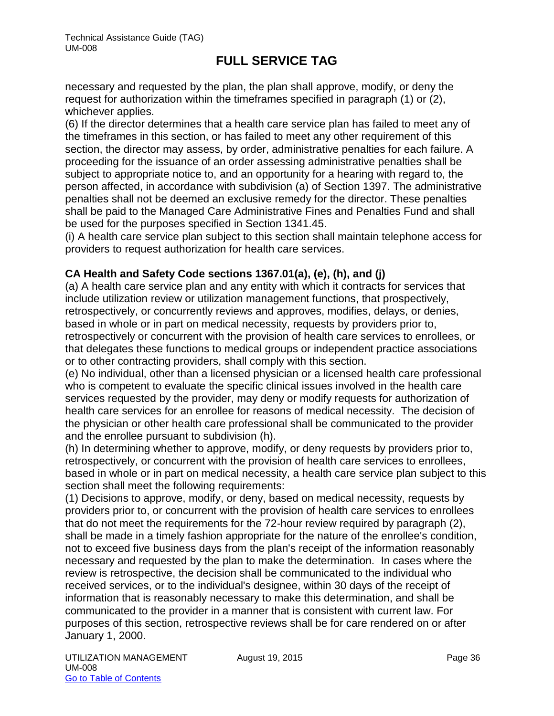necessary and requested by the plan, the plan shall approve, modify, or deny the request for authorization within the timeframes specified in paragraph (1) or (2), whichever applies.

(6) If the director determines that a health care service plan has failed to meet any of the timeframes in this section, or has failed to meet any other requirement of this section, the director may assess, by order, administrative penalties for each failure. A proceeding for the issuance of an order assessing administrative penalties shall be subject to appropriate notice to, and an opportunity for a hearing with regard to, the person affected, in accordance with subdivision (a) of Section 1397. The administrative penalties shall not be deemed an exclusive remedy for the director. These penalties shall be paid to the Managed Care Administrative Fines and Penalties Fund and shall be used for the purposes specified in Section 1341.45.

(i) A health care service plan subject to this section shall maintain telephone access for providers to request authorization for health care services.

## **CA Health and Safety Code sections 1367.01(a), (e), (h), and (j)**

(a) A health care service plan and any entity with which it contracts for services that include utilization review or utilization management functions, that prospectively, retrospectively, or concurrently reviews and approves, modifies, delays, or denies, based in whole or in part on medical necessity, requests by providers prior to, retrospectively or concurrent with the provision of health care services to enrollees, or that delegates these functions to medical groups or independent practice associations or to other contracting providers, shall comply with this section.

(e) No individual, other than a licensed physician or a licensed health care professional who is competent to evaluate the specific clinical issues involved in the health care services requested by the provider, may deny or modify requests for authorization of health care services for an enrollee for reasons of medical necessity. The decision of the physician or other health care professional shall be communicated to the provider and the enrollee pursuant to subdivision (h).

(h) In determining whether to approve, modify, or deny requests by providers prior to, retrospectively, or concurrent with the provision of health care services to enrollees, based in whole or in part on medical necessity, a health care service plan subject to this section shall meet the following requirements:

(1) Decisions to approve, modify, or deny, based on medical necessity, requests by providers prior to, or concurrent with the provision of health care services to enrollees that do not meet the requirements for the 72-hour review required by paragraph (2), shall be made in a timely fashion appropriate for the nature of the enrollee's condition, not to exceed five business days from the plan's receipt of the information reasonably necessary and requested by the plan to make the determination. In cases where the review is retrospective, the decision shall be communicated to the individual who received services, or to the individual's designee, within 30 days of the receipt of information that is reasonably necessary to make this determination, and shall be communicated to the provider in a manner that is consistent with current law. For purposes of this section, retrospective reviews shall be for care rendered on or after January 1, 2000.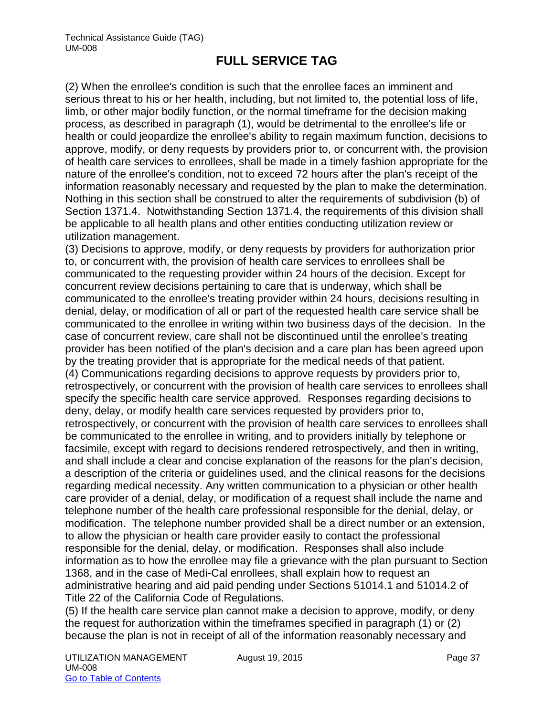(2) When the enrollee's condition is such that the enrollee faces an imminent and serious threat to his or her health, including, but not limited to, the potential loss of life, limb, or other major bodily function, or the normal timeframe for the decision making process, as described in paragraph (1), would be detrimental to the enrollee's life or health or could jeopardize the enrollee's ability to regain maximum function, decisions to approve, modify, or deny requests by providers prior to, or concurrent with, the provision of health care services to enrollees, shall be made in a timely fashion appropriate for the nature of the enrollee's condition, not to exceed 72 hours after the plan's receipt of the information reasonably necessary and requested by the plan to make the determination. Nothing in this section shall be construed to alter the requirements of subdivision (b) of Section 1371.4. Notwithstanding Section 1371.4, the requirements of this division shall be applicable to all health plans and other entities conducting utilization review or utilization management.

(3) Decisions to approve, modify, or deny requests by providers for authorization prior to, or concurrent with, the provision of health care services to enrollees shall be communicated to the requesting provider within 24 hours of the decision. Except for concurrent review decisions pertaining to care that is underway, which shall be communicated to the enrollee's treating provider within 24 hours, decisions resulting in denial, delay, or modification of all or part of the requested health care service shall be communicated to the enrollee in writing within two business days of the decision. In the case of concurrent review, care shall not be discontinued until the enrollee's treating provider has been notified of the plan's decision and a care plan has been agreed upon by the treating provider that is appropriate for the medical needs of that patient. (4) Communications regarding decisions to approve requests by providers prior to, retrospectively, or concurrent with the provision of health care services to enrollees shall specify the specific health care service approved. Responses regarding decisions to deny, delay, or modify health care services requested by providers prior to, retrospectively, or concurrent with the provision of health care services to enrollees shall be communicated to the enrollee in writing, and to providers initially by telephone or facsimile, except with regard to decisions rendered retrospectively, and then in writing, and shall include a clear and concise explanation of the reasons for the plan's decision, a description of the criteria or guidelines used, and the clinical reasons for the decisions regarding medical necessity. Any written communication to a physician or other health care provider of a denial, delay, or modification of a request shall include the name and telephone number of the health care professional responsible for the denial, delay, or modification. The telephone number provided shall be a direct number or an extension, to allow the physician or health care provider easily to contact the professional responsible for the denial, delay, or modification. Responses shall also include information as to how the enrollee may file a grievance with the plan pursuant to Section 1368, and in the case of Medi-Cal enrollees, shall explain how to request an administrative hearing and aid paid pending under Sections 51014.1 and 51014.2 of Title 22 of the California Code of Regulations.

(5) If the health care service plan cannot make a decision to approve, modify, or deny the request for authorization within the timeframes specified in paragraph (1) or (2) because the plan is not in receipt of all of the information reasonably necessary and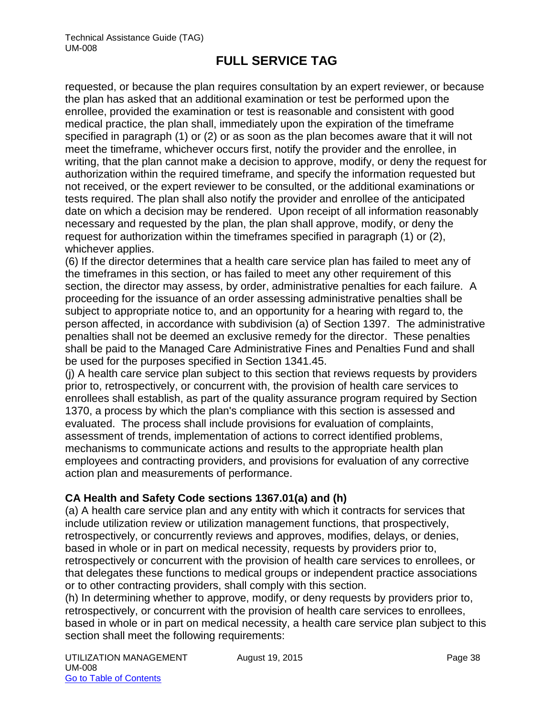requested, or because the plan requires consultation by an expert reviewer, or because the plan has asked that an additional examination or test be performed upon the enrollee, provided the examination or test is reasonable and consistent with good medical practice, the plan shall, immediately upon the expiration of the timeframe specified in paragraph (1) or (2) or as soon as the plan becomes aware that it will not meet the timeframe, whichever occurs first, notify the provider and the enrollee, in writing, that the plan cannot make a decision to approve, modify, or deny the request for authorization within the required timeframe, and specify the information requested but not received, or the expert reviewer to be consulted, or the additional examinations or tests required. The plan shall also notify the provider and enrollee of the anticipated date on which a decision may be rendered. Upon receipt of all information reasonably necessary and requested by the plan, the plan shall approve, modify, or deny the request for authorization within the timeframes specified in paragraph (1) or (2), whichever applies.

(6) If the director determines that a health care service plan has failed to meet any of the timeframes in this section, or has failed to meet any other requirement of this section, the director may assess, by order, administrative penalties for each failure. A proceeding for the issuance of an order assessing administrative penalties shall be subject to appropriate notice to, and an opportunity for a hearing with regard to, the person affected, in accordance with subdivision (a) of Section 1397. The administrative penalties shall not be deemed an exclusive remedy for the director. These penalties shall be paid to the Managed Care Administrative Fines and Penalties Fund and shall be used for the purposes specified in Section 1341.45.

(j) A health care service plan subject to this section that reviews requests by providers prior to, retrospectively, or concurrent with, the provision of health care services to enrollees shall establish, as part of the quality assurance program required by Section 1370, a process by which the plan's compliance with this section is assessed and evaluated. The process shall include provisions for evaluation of complaints, assessment of trends, implementation of actions to correct identified problems, mechanisms to communicate actions and results to the appropriate health plan employees and contracting providers, and provisions for evaluation of any corrective action plan and measurements of performance.

## **CA Health and Safety Code sections 1367.01(a) and (h)**

(a) A health care service plan and any entity with which it contracts for services that include utilization review or utilization management functions, that prospectively, retrospectively, or concurrently reviews and approves, modifies, delays, or denies, based in whole or in part on medical necessity, requests by providers prior to, retrospectively or concurrent with the provision of health care services to enrollees, or that delegates these functions to medical groups or independent practice associations or to other contracting providers, shall comply with this section.

(h) In determining whether to approve, modify, or deny requests by providers prior to, retrospectively, or concurrent with the provision of health care services to enrollees, based in whole or in part on medical necessity, a health care service plan subject to this section shall meet the following requirements: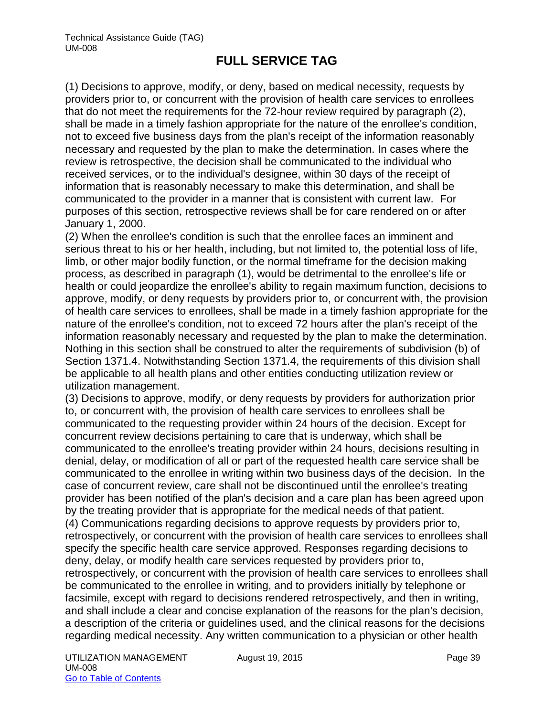(1) Decisions to approve, modify, or deny, based on medical necessity, requests by providers prior to, or concurrent with the provision of health care services to enrollees that do not meet the requirements for the 72-hour review required by paragraph (2), shall be made in a timely fashion appropriate for the nature of the enrollee's condition, not to exceed five business days from the plan's receipt of the information reasonably necessary and requested by the plan to make the determination. In cases where the review is retrospective, the decision shall be communicated to the individual who received services, or to the individual's designee, within 30 days of the receipt of information that is reasonably necessary to make this determination, and shall be communicated to the provider in a manner that is consistent with current law. For purposes of this section, retrospective reviews shall be for care rendered on or after January 1, 2000.

(2) When the enrollee's condition is such that the enrollee faces an imminent and serious threat to his or her health, including, but not limited to, the potential loss of life, limb, or other major bodily function, or the normal timeframe for the decision making process, as described in paragraph (1), would be detrimental to the enrollee's life or health or could jeopardize the enrollee's ability to regain maximum function, decisions to approve, modify, or deny requests by providers prior to, or concurrent with, the provision of health care services to enrollees, shall be made in a timely fashion appropriate for the nature of the enrollee's condition, not to exceed 72 hours after the plan's receipt of the information reasonably necessary and requested by the plan to make the determination. Nothing in this section shall be construed to alter the requirements of subdivision (b) of Section 1371.4. Notwithstanding Section 1371.4, the requirements of this division shall be applicable to all health plans and other entities conducting utilization review or utilization management.

(3) Decisions to approve, modify, or deny requests by providers for authorization prior to, or concurrent with, the provision of health care services to enrollees shall be communicated to the requesting provider within 24 hours of the decision. Except for concurrent review decisions pertaining to care that is underway, which shall be communicated to the enrollee's treating provider within 24 hours, decisions resulting in denial, delay, or modification of all or part of the requested health care service shall be communicated to the enrollee in writing within two business days of the decision. In the case of concurrent review, care shall not be discontinued until the enrollee's treating provider has been notified of the plan's decision and a care plan has been agreed upon by the treating provider that is appropriate for the medical needs of that patient. (4) Communications regarding decisions to approve requests by providers prior to, retrospectively, or concurrent with the provision of health care services to enrollees shall specify the specific health care service approved. Responses regarding decisions to deny, delay, or modify health care services requested by providers prior to, retrospectively, or concurrent with the provision of health care services to enrollees shall be communicated to the enrollee in writing, and to providers initially by telephone or facsimile, except with regard to decisions rendered retrospectively, and then in writing, and shall include a clear and concise explanation of the reasons for the plan's decision, a description of the criteria or guidelines used, and the clinical reasons for the decisions regarding medical necessity. Any written communication to a physician or other health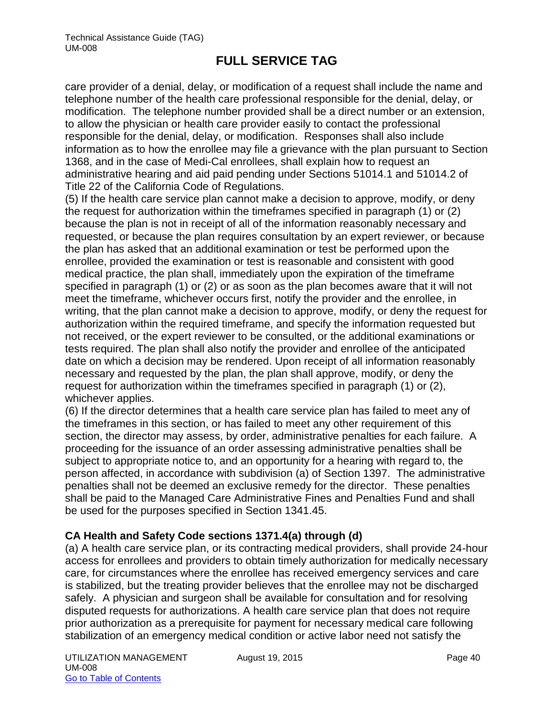care provider of a denial, delay, or modification of a request shall include the name and telephone number of the health care professional responsible for the denial, delay, or modification. The telephone number provided shall be a direct number or an extension, to allow the physician or health care provider easily to contact the professional responsible for the denial, delay, or modification. Responses shall also include information as to how the enrollee may file a grievance with the plan pursuant to Section 1368, and in the case of Medi-Cal enrollees, shall explain how to request an administrative hearing and aid paid pending under Sections 51014.1 and 51014.2 of Title 22 of the California Code of Regulations.

(5) If the health care service plan cannot make a decision to approve, modify, or deny the request for authorization within the timeframes specified in paragraph (1) or (2) because the plan is not in receipt of all of the information reasonably necessary and requested, or because the plan requires consultation by an expert reviewer, or because the plan has asked that an additional examination or test be performed upon the enrollee, provided the examination or test is reasonable and consistent with good medical practice, the plan shall, immediately upon the expiration of the timeframe specified in paragraph (1) or (2) or as soon as the plan becomes aware that it will not meet the timeframe, whichever occurs first, notify the provider and the enrollee, in writing, that the plan cannot make a decision to approve, modify, or deny the request for authorization within the required timeframe, and specify the information requested but not received, or the expert reviewer to be consulted, or the additional examinations or tests required. The plan shall also notify the provider and enrollee of the anticipated date on which a decision may be rendered. Upon receipt of all information reasonably necessary and requested by the plan, the plan shall approve, modify, or deny the request for authorization within the timeframes specified in paragraph (1) or (2), whichever applies.

(6) If the director determines that a health care service plan has failed to meet any of the timeframes in this section, or has failed to meet any other requirement of this section, the director may assess, by order, administrative penalties for each failure. A proceeding for the issuance of an order assessing administrative penalties shall be subject to appropriate notice to, and an opportunity for a hearing with regard to, the person affected, in accordance with subdivision (a) of Section 1397. The administrative penalties shall not be deemed an exclusive remedy for the director. These penalties shall be paid to the Managed Care Administrative Fines and Penalties Fund and shall be used for the purposes specified in Section 1341.45.

## **CA Health and Safety Code sections 1371.4(a) through (d)**

(a) A health care service plan, or its contracting medical providers, shall provide 24-hour access for enrollees and providers to obtain timely authorization for medically necessary care, for circumstances where the enrollee has received emergency services and care is stabilized, but the treating provider believes that the enrollee may not be discharged safely. A physician and surgeon shall be available for consultation and for resolving disputed requests for authorizations. A health care service plan that does not require prior authorization as a prerequisite for payment for necessary medical care following stabilization of an emergency medical condition or active labor need not satisfy the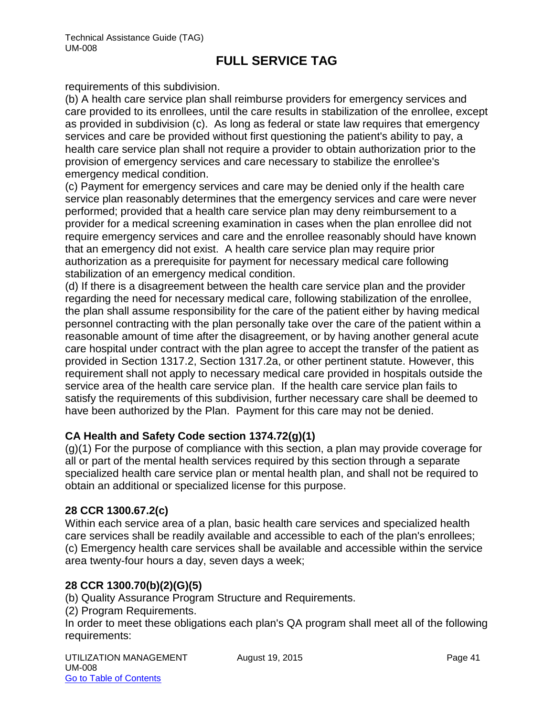requirements of this subdivision.

(b) A health care service plan shall reimburse providers for emergency services and care provided to its enrollees, until the care results in stabilization of the enrollee, except as provided in subdivision (c). As long as federal or state law requires that emergency services and care be provided without first questioning the patient's ability to pay, a health care service plan shall not require a provider to obtain authorization prior to the provision of emergency services and care necessary to stabilize the enrollee's emergency medical condition.

(c) Payment for emergency services and care may be denied only if the health care service plan reasonably determines that the emergency services and care were never performed; provided that a health care service plan may deny reimbursement to a provider for a medical screening examination in cases when the plan enrollee did not require emergency services and care and the enrollee reasonably should have known that an emergency did not exist. A health care service plan may require prior authorization as a prerequisite for payment for necessary medical care following stabilization of an emergency medical condition.

(d) If there is a disagreement between the health care service plan and the provider regarding the need for necessary medical care, following stabilization of the enrollee, the plan shall assume responsibility for the care of the patient either by having medical personnel contracting with the plan personally take over the care of the patient within a reasonable amount of time after the disagreement, or by having another general acute care hospital under contract with the plan agree to accept the transfer of the patient as provided in Section 1317.2, Section 1317.2a, or other pertinent statute. However, this requirement shall not apply to necessary medical care provided in hospitals outside the service area of the health care service plan. If the health care service plan fails to satisfy the requirements of this subdivision, further necessary care shall be deemed to have been authorized by the Plan. Payment for this care may not be denied.

#### **CA Health and Safety Code section 1374.72(g)(1)**

(g)(1) For the purpose of compliance with this section, a plan may provide coverage for all or part of the mental health services required by this section through a separate specialized health care service plan or mental health plan, and shall not be required to obtain an additional or specialized license for this purpose.

#### **28 CCR 1300.67.2(c)**

Within each service area of a plan, basic health care services and specialized health care services shall be readily available and accessible to each of the plan's enrollees; (c) Emergency health care services shall be available and accessible within the service area twenty-four hours a day, seven days a week;

#### **28 CCR 1300.70(b)(2)(G)(5)**

(b) Quality Assurance Program Structure and Requirements.

(2) Program Requirements.

In order to meet these obligations each plan's QA program shall meet all of the following requirements: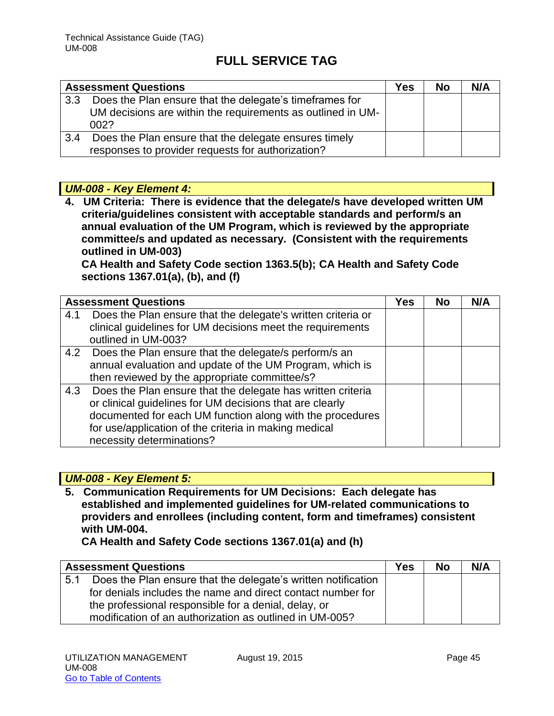|                  | <b>Assessment Questions</b>                                                                                                    | Yes | <b>No</b> | N/A |
|------------------|--------------------------------------------------------------------------------------------------------------------------------|-----|-----------|-----|
| 3.3 <sub>2</sub> | Does the Plan ensure that the delegate's timeframes for<br>UM decisions are within the requirements as outlined in UM-<br>002? |     |           |     |
| 3.4              | Does the Plan ensure that the delegate ensures timely<br>responses to provider requests for authorization?                     |     |           |     |

## *UM-008 - Key Element 4:*

**4. UM Criteria: There is evidence that the delegate/s have developed written UM criteria/guidelines consistent with acceptable standards and perform/s an annual evaluation of the UM Program, which is reviewed by the appropriate committee/s and updated as necessary. (Consistent with the requirements outlined in UM-003)** 

**CA Health and Safety Code section 1363.5(b); CA Health and Safety Code sections 1367.01(a), (b), and (f)**

|     | <b>Assessment Questions</b>                                                       | <b>Yes</b> | <b>No</b> | N/A |
|-----|-----------------------------------------------------------------------------------|------------|-----------|-----|
| 4.1 | Does the Plan ensure that the delegate's written criteria or                      |            |           |     |
|     | clinical guidelines for UM decisions meet the requirements<br>outlined in UM-003? |            |           |     |
|     | 4.2 Does the Plan ensure that the delegate/s perform/s an                         |            |           |     |
|     | annual evaluation and update of the UM Program, which is                          |            |           |     |
|     | then reviewed by the appropriate committee/s?                                     |            |           |     |
| 4.3 | Does the Plan ensure that the delegate has written criteria                       |            |           |     |
|     | or clinical guidelines for UM decisions that are clearly                          |            |           |     |
|     | documented for each UM function along with the procedures                         |            |           |     |
|     | for use/application of the criteria in making medical                             |            |           |     |
|     | necessity determinations?                                                         |            |           |     |

## *UM-008 - Key Element 5:*

**5. Communication Requirements for UM Decisions: Each delegate has established and implemented guidelines for UM-related communications to providers and enrollees (including content, form and timeframes) consistent with UM-004.** 

**CA Health and Safety Code sections 1367.01(a) and (h)** 

|     | <b>Assessment Questions</b>                                   | <b>Yes</b> | <b>No</b> | N/A |
|-----|---------------------------------------------------------------|------------|-----------|-----|
| 5.1 | Does the Plan ensure that the delegate's written notification |            |           |     |
|     | for denials includes the name and direct contact number for   |            |           |     |
|     | the professional responsible for a denial, delay, or          |            |           |     |
|     | modification of an authorization as outlined in UM-005?       |            |           |     |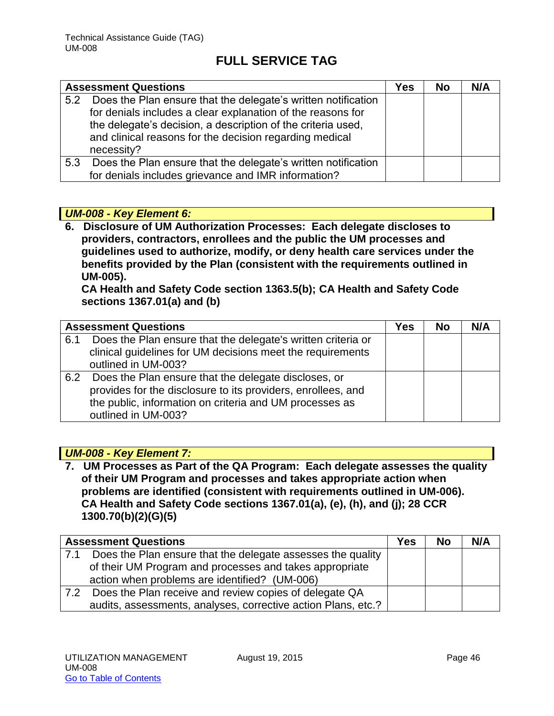|     | <b>Assessment Questions</b>                                                                                                                                                                                                                                           | Yes | <b>No</b> | N/A |
|-----|-----------------------------------------------------------------------------------------------------------------------------------------------------------------------------------------------------------------------------------------------------------------------|-----|-----------|-----|
| 5.2 | Does the Plan ensure that the delegate's written notification<br>for denials includes a clear explanation of the reasons for<br>the delegate's decision, a description of the criteria used,<br>and clinical reasons for the decision regarding medical<br>necessity? |     |           |     |
| 5.3 | Does the Plan ensure that the delegate's written notification<br>for denials includes grievance and IMR information?                                                                                                                                                  |     |           |     |

## *UM-008 - Key Element 6:*

**6. Disclosure of UM Authorization Processes: Each delegate discloses to providers, contractors, enrollees and the public the UM processes and guidelines used to authorize, modify, or deny health care services under the benefits provided by the Plan (consistent with the requirements outlined in UM-005).** 

**CA Health and Safety Code section 1363.5(b); CA Health and Safety Code sections 1367.01(a) and (b)**

|     | <b>Assessment Questions</b>                                                                                                                                                                            | Yes | No | N/A |
|-----|--------------------------------------------------------------------------------------------------------------------------------------------------------------------------------------------------------|-----|----|-----|
| 6.1 | Does the Plan ensure that the delegate's written criteria or<br>clinical guidelines for UM decisions meet the requirements<br>outlined in UM-003?                                                      |     |    |     |
| 6.2 | Does the Plan ensure that the delegate discloses, or<br>provides for the disclosure to its providers, enrollees, and<br>the public, information on criteria and UM processes as<br>outlined in UM-003? |     |    |     |

### *UM-008 - Key Element 7:*

**7. UM Processes as Part of the QA Program: Each delegate assesses the quality of their UM Program and processes and takes appropriate action when problems are identified (consistent with requirements outlined in UM-006). CA Health and Safety Code sections 1367.01(a), (e), (h), and (j); 28 CCR 1300.70(b)(2)(G)(5)**

|     | <b>Assessment Questions</b>                                   | <b>Yes</b> | <b>No</b> | N/A |
|-----|---------------------------------------------------------------|------------|-----------|-----|
| 7.1 | Does the Plan ensure that the delegate assesses the quality   |            |           |     |
|     | of their UM Program and processes and takes appropriate       |            |           |     |
|     | action when problems are identified? (UM-006)                 |            |           |     |
| 7.2 | Does the Plan receive and review copies of delegate QA        |            |           |     |
|     | audits, assessments, analyses, corrective action Plans, etc.? |            |           |     |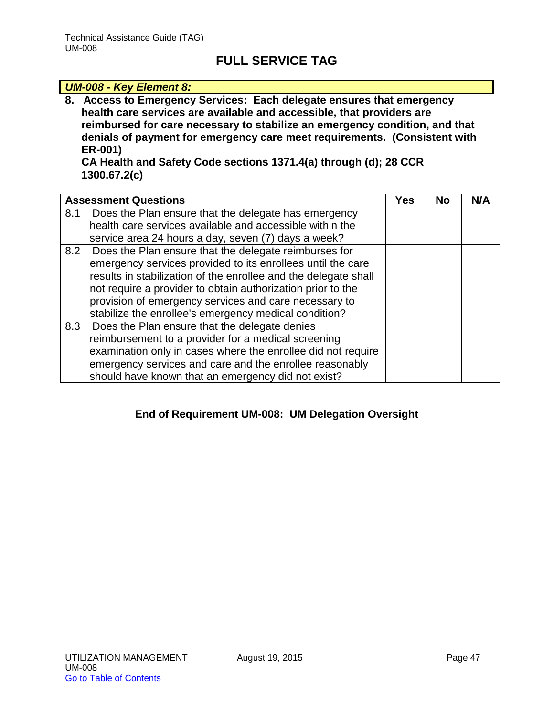#### *UM-008 - Key Element 8:* **8. Access to Emergency Services: Each delegate ensures that emergency health care services are available and accessible, that providers are reimbursed for care necessary to stabilize an emergency condition, and that denials of payment for emergency care meet requirements. (Consistent with ER-001) CA Health and Safety Code sections 1371.4(a) through (d); 28 CCR 1300.67.2(c)**

|     | <b>Assessment Questions</b>                                                                                                                                                                                                                                                                                                                                                  | <b>Yes</b> | <b>No</b> | N/A |
|-----|------------------------------------------------------------------------------------------------------------------------------------------------------------------------------------------------------------------------------------------------------------------------------------------------------------------------------------------------------------------------------|------------|-----------|-----|
| 8.1 | Does the Plan ensure that the delegate has emergency<br>health care services available and accessible within the<br>service area 24 hours a day, seven (7) days a week?                                                                                                                                                                                                      |            |           |     |
|     | 8.2 Does the Plan ensure that the delegate reimburses for<br>emergency services provided to its enrollees until the care<br>results in stabilization of the enrollee and the delegate shall<br>not require a provider to obtain authorization prior to the<br>provision of emergency services and care necessary to<br>stabilize the enrollee's emergency medical condition? |            |           |     |
|     | 8.3 Does the Plan ensure that the delegate denies<br>reimbursement to a provider for a medical screening<br>examination only in cases where the enrollee did not require<br>emergency services and care and the enrollee reasonably<br>should have known that an emergency did not exist?                                                                                    |            |           |     |

## **End of Requirement UM-008: UM Delegation Oversight**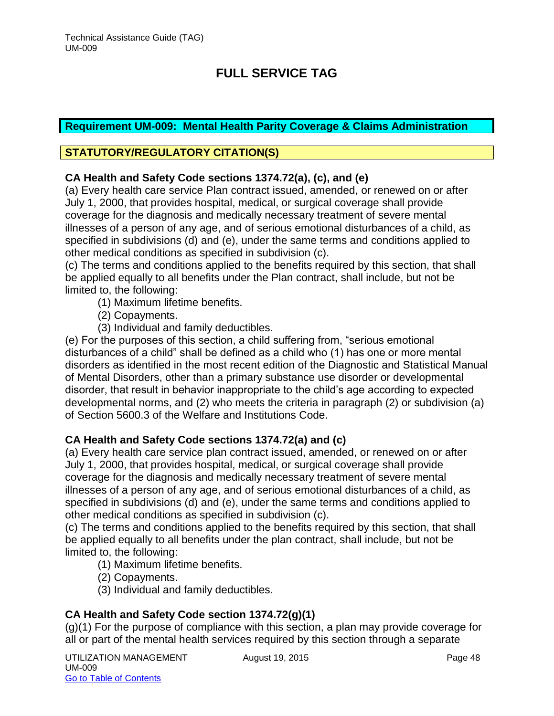### **Requirement UM-009: Mental Health Parity Coverage & Claims Administration**

### **STATUTORY/REGULATORY CITATION(S)**

### **CA Health and Safety Code sections 1374.72(a), (c), and (e)**

(a) Every health care service Plan contract issued, amended, or renewed on or after July 1, 2000, that provides hospital, medical, or surgical coverage shall provide coverage for the diagnosis and medically necessary treatment of severe mental illnesses of a person of any age, and of serious emotional disturbances of a child, as specified in subdivisions (d) and (e), under the same terms and conditions applied to other medical conditions as specified in subdivision (c).

(c) The terms and conditions applied to the benefits required by this section, that shall be applied equally to all benefits under the Plan contract, shall include, but not be limited to, the following:

- (1) Maximum lifetime benefits.
- (2) Copayments.
- (3) Individual and family deductibles.

(e) For the purposes of this section, a child suffering from, "serious emotional disturbances of a child" shall be defined as a child who (1) has one or more mental disorders as identified in the most recent edition of the Diagnostic and Statistical Manual of Mental Disorders, other than a primary substance use disorder or developmental disorder, that result in behavior inappropriate to the child's age according to expected developmental norms, and (2) who meets the criteria in paragraph (2) or subdivision (a) of Section 5600.3 of the Welfare and Institutions Code.

#### **CA Health and Safety Code sections 1374.72(a) and (c)**

(a) Every health care service plan contract issued, amended, or renewed on or after July 1, 2000, that provides hospital, medical, or surgical coverage shall provide coverage for the diagnosis and medically necessary treatment of severe mental illnesses of a person of any age, and of serious emotional disturbances of a child, as specified in subdivisions (d) and (e), under the same terms and conditions applied to other medical conditions as specified in subdivision (c).

(c) The terms and conditions applied to the benefits required by this section, that shall be applied equally to all benefits under the plan contract, shall include, but not be limited to, the following:

(1) Maximum lifetime benefits.

(2) Copayments.

(3) Individual and family deductibles.

## **CA Health and Safety Code section 1374.72(g)(1)**

(g)(1) For the purpose of compliance with this section, a plan may provide coverage for all or part of the mental health services required by this section through a separate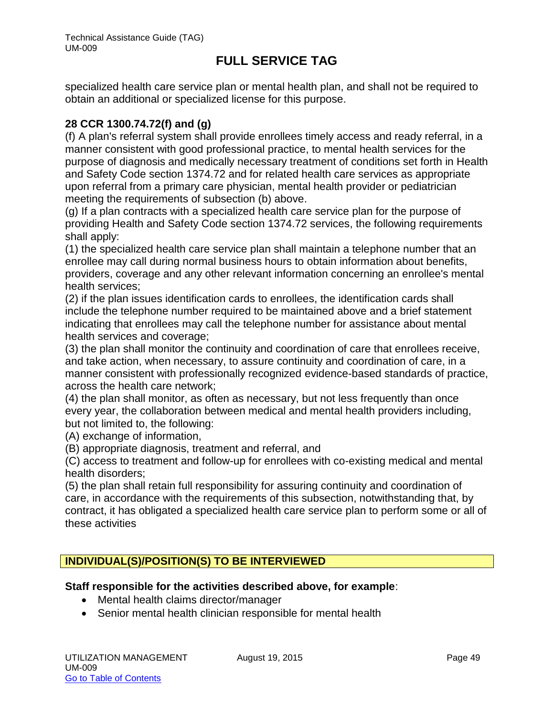specialized health care service plan or mental health plan, and shall not be required to obtain an additional or specialized license for this purpose.

### **28 CCR 1300.74.72(f) and (g)**

(f) A plan's referral system shall provide enrollees timely access and ready referral, in a manner consistent with good professional practice, to mental health services for the purpose of diagnosis and medically necessary treatment of conditions set forth in Health and Safety Code section 1374.72 and for related health care services as appropriate upon referral from a primary care physician, mental health provider or pediatrician meeting the requirements of subsection (b) above.

(g) If a plan contracts with a specialized health care service plan for the purpose of providing Health and Safety Code section 1374.72 services, the following requirements shall apply:

(1) the specialized health care service plan shall maintain a telephone number that an enrollee may call during normal business hours to obtain information about benefits, providers, coverage and any other relevant information concerning an enrollee's mental health services;

(2) if the plan issues identification cards to enrollees, the identification cards shall include the telephone number required to be maintained above and a brief statement indicating that enrollees may call the telephone number for assistance about mental health services and coverage;

(3) the plan shall monitor the continuity and coordination of care that enrollees receive, and take action, when necessary, to assure continuity and coordination of care, in a manner consistent with professionally recognized evidence-based standards of practice, across the health care network;

(4) the plan shall monitor, as often as necessary, but not less frequently than once every year, the collaboration between medical and mental health providers including, but not limited to, the following:

(A) exchange of information,

(B) appropriate diagnosis, treatment and referral, and

(C) access to treatment and follow-up for enrollees with co-existing medical and mental health disorders;

(5) the plan shall retain full responsibility for assuring continuity and coordination of care, in accordance with the requirements of this subsection, notwithstanding that, by contract, it has obligated a specialized health care service plan to perform some or all of these activities

## **INDIVIDUAL(S)/POSITION(S) TO BE INTERVIEWED**

#### **Staff responsible for the activities described above, for example**:

- Mental health claims director/manager
- Senior mental health clinician responsible for mental health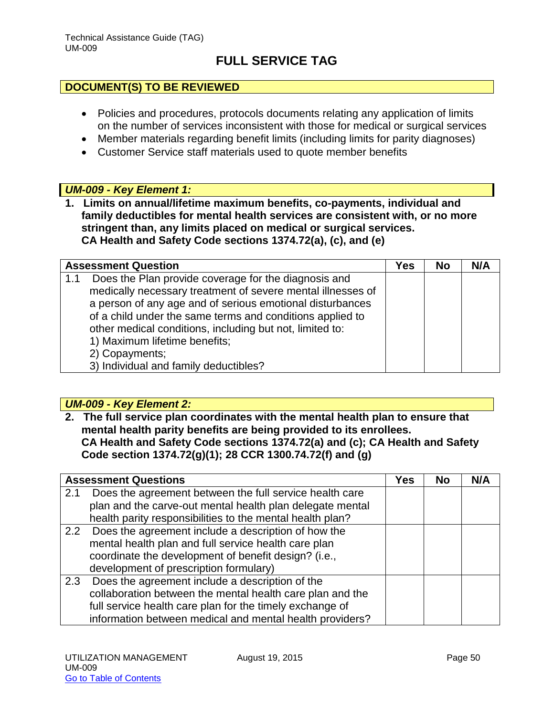#### **DOCUMENT(S) TO BE REVIEWED**

- Policies and procedures, protocols documents relating any application of limits on the number of services inconsistent with those for medical or surgical services
- Member materials regarding benefit limits (including limits for parity diagnoses)
- Customer Service staff materials used to quote member benefits

#### *UM-009 - Key Element 1:*

**1. Limits on annual/lifetime maximum benefits, co-payments, individual and family deductibles for mental health services are consistent with, or no more stringent than, any limits placed on medical or surgical services. CA Health and Safety Code sections 1374.72(a), (c), and (e)**

|     | <b>Assessment Question</b>                                  | Yes | <b>No</b> | N/A |
|-----|-------------------------------------------------------------|-----|-----------|-----|
| 1.1 | Does the Plan provide coverage for the diagnosis and        |     |           |     |
|     | medically necessary treatment of severe mental illnesses of |     |           |     |
|     | a person of any age and of serious emotional disturbances   |     |           |     |
|     | of a child under the same terms and conditions applied to   |     |           |     |
|     | other medical conditions, including but not, limited to:    |     |           |     |
|     | 1) Maximum lifetime benefits;                               |     |           |     |
|     | 2) Copayments;                                              |     |           |     |
|     | 3) Individual and family deductibles?                       |     |           |     |

#### *UM-009 - Key Element 2:*

**2. The full service plan coordinates with the mental health plan to ensure that mental health parity benefits are being provided to its enrollees. CA Health and Safety Code sections 1374.72(a) and (c); CA Health and Safety Code section 1374.72(g)(1); 28 CCR 1300.74.72(f) and (g)** 

|     | <b>Assessment Questions</b>                               |  | <b>No</b> | N/A |
|-----|-----------------------------------------------------------|--|-----------|-----|
| 2.1 | Does the agreement between the full service health care   |  |           |     |
|     | plan and the carve-out mental health plan delegate mental |  |           |     |
|     | health parity responsibilities to the mental health plan? |  |           |     |
|     | 2.2 Does the agreement include a description of how the   |  |           |     |
|     | mental health plan and full service health care plan      |  |           |     |
|     | coordinate the development of benefit design? (i.e.,      |  |           |     |
|     | development of prescription formulary)                    |  |           |     |
| 2.3 | Does the agreement include a description of the           |  |           |     |
|     | collaboration between the mental health care plan and the |  |           |     |
|     | full service health care plan for the timely exchange of  |  |           |     |
|     | information between medical and mental health providers?  |  |           |     |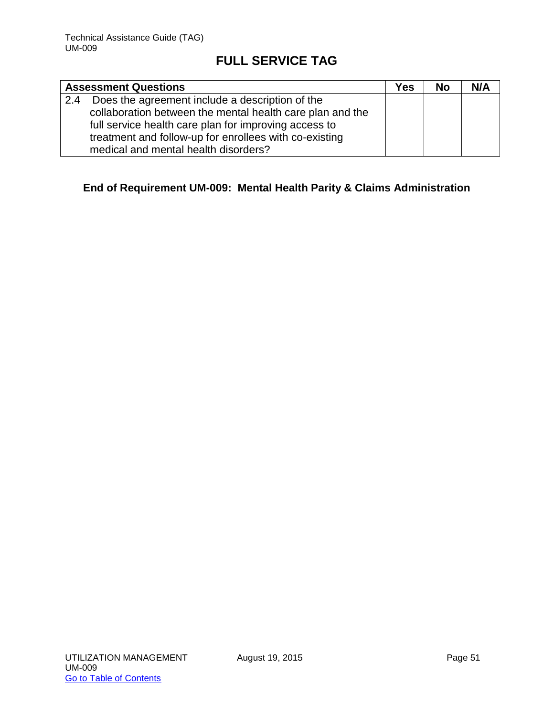|     | <b>Assessment Questions</b>                               | Yes | <b>No</b> | N/A |
|-----|-----------------------------------------------------------|-----|-----------|-----|
| 2.4 | Does the agreement include a description of the           |     |           |     |
|     | collaboration between the mental health care plan and the |     |           |     |
|     | full service health care plan for improving access to     |     |           |     |
|     | treatment and follow-up for enrollees with co-existing    |     |           |     |
|     | medical and mental health disorders?                      |     |           |     |

## **End of Requirement UM-009: Mental Health Parity & Claims Administration**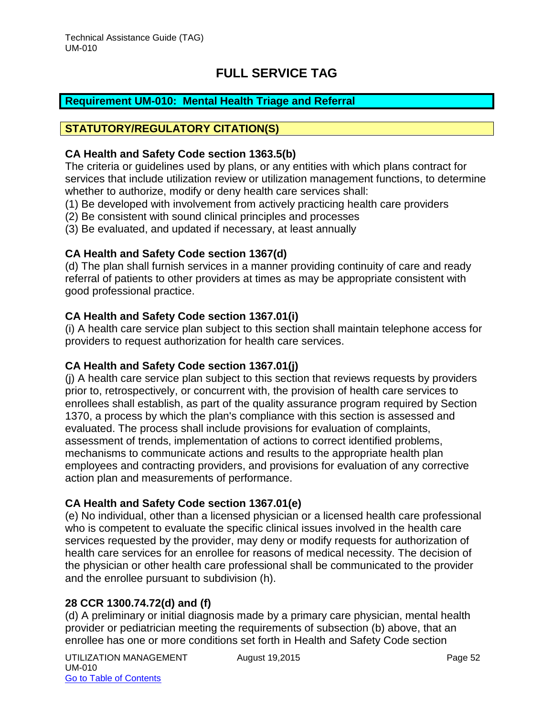## **Requirement UM-010: Mental Health Triage and Referral**

### **STATUTORY/REGULATORY CITATION(S)**

#### **CA Health and Safety Code section 1363.5(b)**

The criteria or guidelines used by plans, or any entities with which plans contract for services that include utilization review or utilization management functions, to determine whether to authorize, modify or deny health care services shall:

- (1) Be developed with involvement from actively practicing health care providers
- (2) Be consistent with sound clinical principles and processes
- (3) Be evaluated, and updated if necessary, at least annually

## **CA Health and Safety Code section 1367(d)**

(d) The plan shall furnish services in a manner providing continuity of care and ready referral of patients to other providers at times as may be appropriate consistent with good professional practice.

### **CA Health and Safety Code section 1367.01(i)**

(i) A health care service plan subject to this section shall maintain telephone access for providers to request authorization for health care services.

#### **CA Health and Safety Code section 1367.01(j)**

(j) A health care service plan subject to this section that reviews requests by providers prior to, retrospectively, or concurrent with, the provision of health care services to enrollees shall establish, as part of the quality assurance program required by Section 1370, a process by which the plan's compliance with this section is assessed and evaluated. The process shall include provisions for evaluation of complaints, assessment of trends, implementation of actions to correct identified problems, mechanisms to communicate actions and results to the appropriate health plan employees and contracting providers, and provisions for evaluation of any corrective action plan and measurements of performance.

## **CA Health and Safety Code section 1367.01(e)**

(e) No individual, other than a licensed physician or a licensed health care professional who is competent to evaluate the specific clinical issues involved in the health care services requested by the provider, may deny or modify requests for authorization of health care services for an enrollee for reasons of medical necessity. The decision of the physician or other health care professional shall be communicated to the provider and the enrollee pursuant to subdivision (h).

## **28 CCR 1300.74.72(d) and (f)**

(d) A preliminary or initial diagnosis made by a primary care physician, mental health provider or pediatrician meeting the requirements of subsection (b) above, that an enrollee has one or more conditions set forth in Health and Safety Code section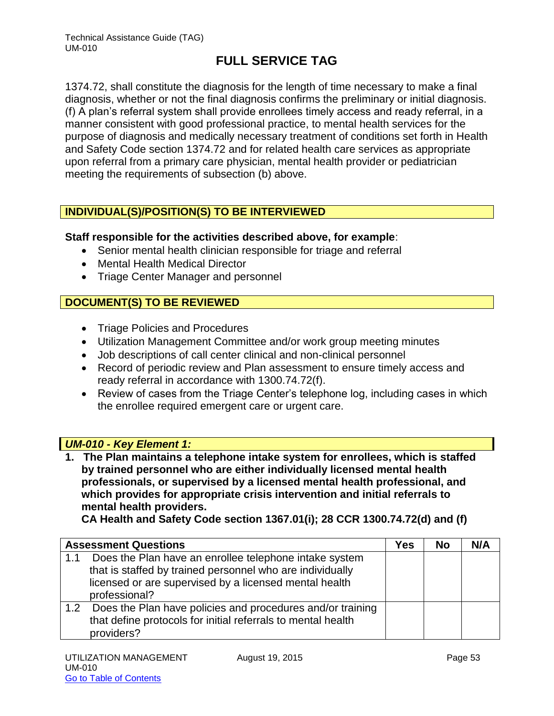1374.72, shall constitute the diagnosis for the length of time necessary to make a final diagnosis, whether or not the final diagnosis confirms the preliminary or initial diagnosis. (f) A plan's referral system shall provide enrollees timely access and ready referral, in a manner consistent with good professional practice, to mental health services for the purpose of diagnosis and medically necessary treatment of conditions set forth in Health and Safety Code section 1374.72 and for related health care services as appropriate upon referral from a primary care physician, mental health provider or pediatrician meeting the requirements of subsection (b) above.

## **INDIVIDUAL(S)/POSITION(S) TO BE INTERVIEWED**

#### **Staff responsible for the activities described above, for example**:

- Senior mental health clinician responsible for triage and referral
- Mental Health Medical Director
- Triage Center Manager and personnel

## **DOCUMENT(S) TO BE REVIEWED**

- Triage Policies and Procedures
- Utilization Management Committee and/or work group meeting minutes
- Job descriptions of call center clinical and non-clinical personnel
- Record of periodic review and Plan assessment to ensure timely access and ready referral in accordance with 1300.74.72(f).
- Review of cases from the Triage Center's telephone log, including cases in which the enrollee required emergent care or urgent care.

#### *UM-010 - Key Element 1:*

**1. The Plan maintains a telephone intake system for enrollees, which is staffed by trained personnel who are either individually licensed mental health professionals, or supervised by a licensed mental health professional, and which provides for appropriate crisis intervention and initial referrals to mental health providers.** 

**CA Health and Safety Code section 1367.01(i); 28 CCR 1300.74.72(d) and (f)** 

|                  | <b>Assessment Questions</b>                                                                                                                                                                    | Yes | No | N/A |
|------------------|------------------------------------------------------------------------------------------------------------------------------------------------------------------------------------------------|-----|----|-----|
| 1.1              | Does the Plan have an enrollee telephone intake system<br>that is staffed by trained personnel who are individually<br>licensed or are supervised by a licensed mental health<br>professional? |     |    |     |
| 1.2 <sub>2</sub> | Does the Plan have policies and procedures and/or training<br>that define protocols for initial referrals to mental health<br>providers?                                                       |     |    |     |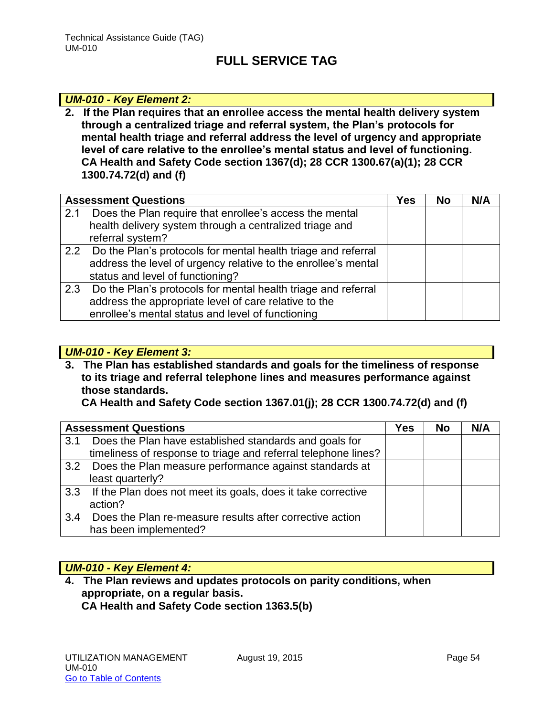### *UM-010 - Key Element 2:*

**2. If the Plan requires that an enrollee access the mental health delivery system through a centralized triage and referral system, the Plan's protocols for mental health triage and referral address the level of urgency and appropriate level of care relative to the enrollee's mental status and level of functioning. CA Health and Safety Code section 1367(d); 28 CCR 1300.67(a)(1); 28 CCR 1300.74.72(d) and (f)** 

|     | <b>Assessment Questions</b>                                       | Yes | <b>No</b> | N/A |
|-----|-------------------------------------------------------------------|-----|-----------|-----|
| 2.1 | Does the Plan require that enrollee's access the mental           |     |           |     |
|     | health delivery system through a centralized triage and           |     |           |     |
|     | referral system?                                                  |     |           |     |
|     | 2.2 Do the Plan's protocols for mental health triage and referral |     |           |     |
|     | address the level of urgency relative to the enrollee's mental    |     |           |     |
|     | status and level of functioning?                                  |     |           |     |
| 2.3 | Do the Plan's protocols for mental health triage and referral     |     |           |     |
|     | address the appropriate level of care relative to the             |     |           |     |
|     | enrollee's mental status and level of functioning                 |     |           |     |

#### *UM-010 - Key Element 3:*

**3. The Plan has established standards and goals for the timeliness of response to its triage and referral telephone lines and measures performance against those standards.** 

**CA Health and Safety Code section 1367.01(j); 28 CCR 1300.74.72(d) and (f)** 

|     | <b>Assessment Questions</b>                                      | Yes | <b>No</b> | N/A |
|-----|------------------------------------------------------------------|-----|-----------|-----|
| 3.1 | Does the Plan have established standards and goals for           |     |           |     |
|     | timeliness of response to triage and referral telephone lines?   |     |           |     |
|     | 3.2 Does the Plan measure performance against standards at       |     |           |     |
|     | least quarterly?                                                 |     |           |     |
|     | 3.3 If the Plan does not meet its goals, does it take corrective |     |           |     |
|     | action?                                                          |     |           |     |
| 3.4 | Does the Plan re-measure results after corrective action         |     |           |     |
|     | has been implemented?                                            |     |           |     |

#### *UM-010 - Key Element 4:*

**4. The Plan reviews and updates protocols on parity conditions, when appropriate, on a regular basis. CA Health and Safety Code section 1363.5(b)**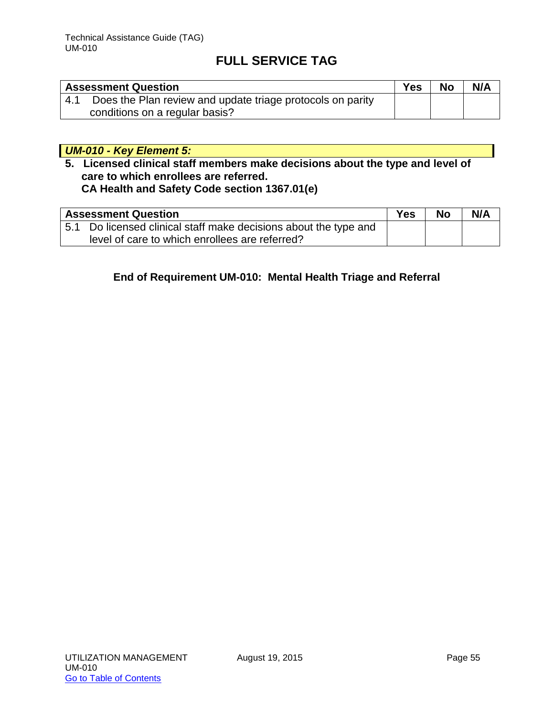|     | <b>Assessment Question</b>                                 | Yes | <b>No</b> | N/A |
|-----|------------------------------------------------------------|-----|-----------|-----|
| 4.1 | Does the Plan review and update triage protocols on parity |     |           |     |
|     | conditions on a regular basis?                             |     |           |     |

## *UM-010 - Key Element 5:*

## **5. Licensed clinical staff members make decisions about the type and level of care to which enrollees are referred. CA Health and Safety Code section 1367.01(e)**

|     | <b>Assessment Question</b>                                   | Yes | <b>No</b> | N/A |
|-----|--------------------------------------------------------------|-----|-----------|-----|
| 5.1 | Do licensed clinical staff make decisions about the type and |     |           |     |
|     | level of care to which enrollees are referred?               |     |           |     |

## **End of Requirement UM-010: Mental Health Triage and Referral**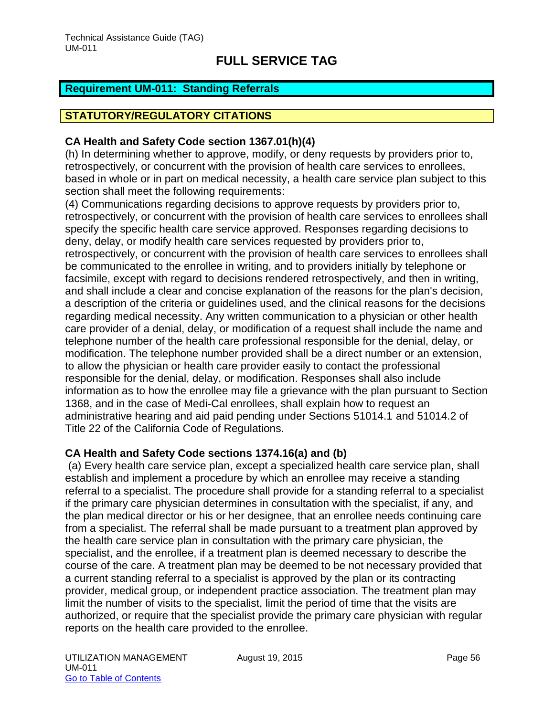### **Requirement UM-011: Standing Referrals**

### **STATUTORY/REGULATORY CITATIONS**

#### **CA Health and Safety Code section 1367.01(h)(4)**

(h) In determining whether to approve, modify, or deny requests by providers prior to, retrospectively, or concurrent with the provision of health care services to enrollees, based in whole or in part on medical necessity, a health care service plan subject to this section shall meet the following requirements:

(4) Communications regarding decisions to approve requests by providers prior to, retrospectively, or concurrent with the provision of health care services to enrollees shall specify the specific health care service approved. Responses regarding decisions to deny, delay, or modify health care services requested by providers prior to, retrospectively, or concurrent with the provision of health care services to enrollees shall be communicated to the enrollee in writing, and to providers initially by telephone or facsimile, except with regard to decisions rendered retrospectively, and then in writing, and shall include a clear and concise explanation of the reasons for the plan's decision, a description of the criteria or guidelines used, and the clinical reasons for the decisions regarding medical necessity. Any written communication to a physician or other health care provider of a denial, delay, or modification of a request shall include the name and telephone number of the health care professional responsible for the denial, delay, or modification. The telephone number provided shall be a direct number or an extension, to allow the physician or health care provider easily to contact the professional responsible for the denial, delay, or modification. Responses shall also include information as to how the enrollee may file a grievance with the plan pursuant to Section 1368, and in the case of Medi-Cal enrollees, shall explain how to request an administrative hearing and aid paid pending under Sections 51014.1 and 51014.2 of Title 22 of the California Code of Regulations.

#### **CA Health and Safety Code sections 1374.16(a) and (b)**

 (a) Every health care service plan, except a specialized health care service plan, shall establish and implement a procedure by which an enrollee may receive a standing referral to a specialist. The procedure shall provide for a standing referral to a specialist if the primary care physician determines in consultation with the specialist, if any, and the plan medical director or his or her designee, that an enrollee needs continuing care from a specialist. The referral shall be made pursuant to a treatment plan approved by the health care service plan in consultation with the primary care physician, the specialist, and the enrollee, if a treatment plan is deemed necessary to describe the course of the care. A treatment plan may be deemed to be not necessary provided that a current standing referral to a specialist is approved by the plan or its contracting provider, medical group, or independent practice association. The treatment plan may limit the number of visits to the specialist, limit the period of time that the visits are authorized, or require that the specialist provide the primary care physician with regular reports on the health care provided to the enrollee.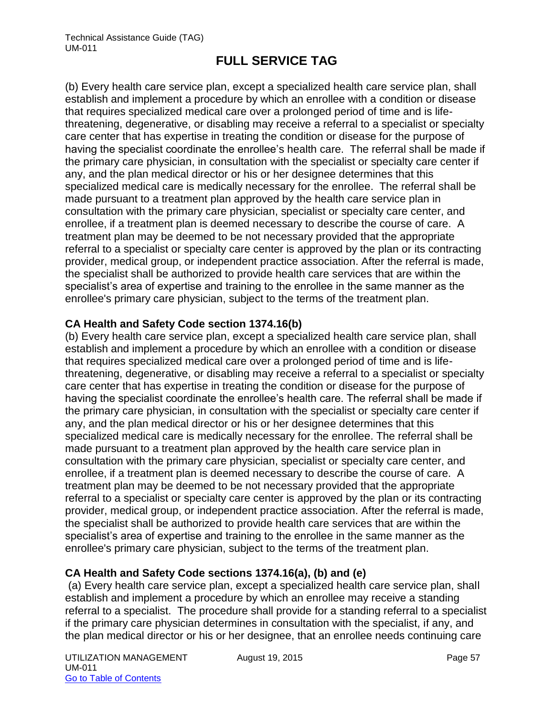(b) Every health care service plan, except a specialized health care service plan, shall establish and implement a procedure by which an enrollee with a condition or disease that requires specialized medical care over a prolonged period of time and is lifethreatening, degenerative, or disabling may receive a referral to a specialist or specialty care center that has expertise in treating the condition or disease for the purpose of having the specialist coordinate the enrollee's health care. The referral shall be made if the primary care physician, in consultation with the specialist or specialty care center if any, and the plan medical director or his or her designee determines that this specialized medical care is medically necessary for the enrollee. The referral shall be made pursuant to a treatment plan approved by the health care service plan in consultation with the primary care physician, specialist or specialty care center, and enrollee, if a treatment plan is deemed necessary to describe the course of care. A treatment plan may be deemed to be not necessary provided that the appropriate referral to a specialist or specialty care center is approved by the plan or its contracting provider, medical group, or independent practice association. After the referral is made, the specialist shall be authorized to provide health care services that are within the specialist's area of expertise and training to the enrollee in the same manner as the enrollee's primary care physician, subject to the terms of the treatment plan.

### **CA Health and Safety Code section 1374.16(b)**

(b) Every health care service plan, except a specialized health care service plan, shall establish and implement a procedure by which an enrollee with a condition or disease that requires specialized medical care over a prolonged period of time and is lifethreatening, degenerative, or disabling may receive a referral to a specialist or specialty care center that has expertise in treating the condition or disease for the purpose of having the specialist coordinate the enrollee's health care. The referral shall be made if the primary care physician, in consultation with the specialist or specialty care center if any, and the plan medical director or his or her designee determines that this specialized medical care is medically necessary for the enrollee. The referral shall be made pursuant to a treatment plan approved by the health care service plan in consultation with the primary care physician, specialist or specialty care center, and enrollee, if a treatment plan is deemed necessary to describe the course of care. A treatment plan may be deemed to be not necessary provided that the appropriate referral to a specialist or specialty care center is approved by the plan or its contracting provider, medical group, or independent practice association. After the referral is made, the specialist shall be authorized to provide health care services that are within the specialist's area of expertise and training to the enrollee in the same manner as the enrollee's primary care physician, subject to the terms of the treatment plan.

## **CA Health and Safety Code sections 1374.16(a), (b) and (e)**

(a) Every health care service plan, except a specialized health care service plan, shall establish and implement a procedure by which an enrollee may receive a standing referral to a specialist. The procedure shall provide for a standing referral to a specialist if the primary care physician determines in consultation with the specialist, if any, and the plan medical director or his or her designee, that an enrollee needs continuing care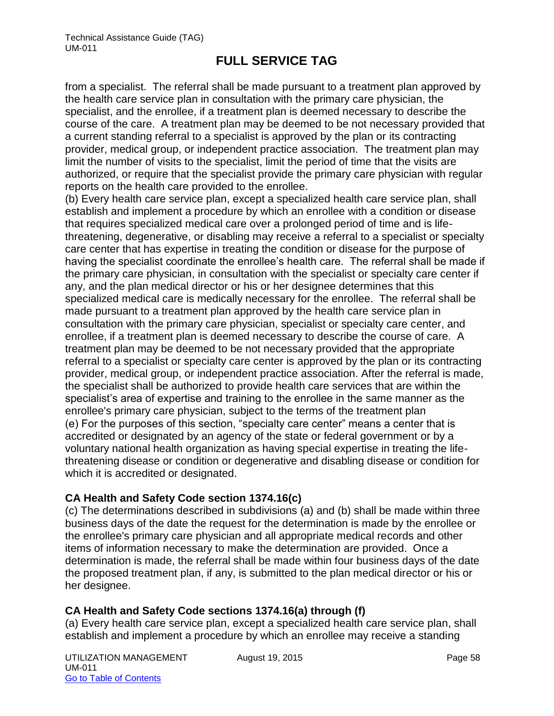from a specialist. The referral shall be made pursuant to a treatment plan approved by the health care service plan in consultation with the primary care physician, the specialist, and the enrollee, if a treatment plan is deemed necessary to describe the course of the care. A treatment plan may be deemed to be not necessary provided that a current standing referral to a specialist is approved by the plan or its contracting provider, medical group, or independent practice association. The treatment plan may limit the number of visits to the specialist, limit the period of time that the visits are authorized, or require that the specialist provide the primary care physician with regular reports on the health care provided to the enrollee.

(b) Every health care service plan, except a specialized health care service plan, shall establish and implement a procedure by which an enrollee with a condition or disease that requires specialized medical care over a prolonged period of time and is lifethreatening, degenerative, or disabling may receive a referral to a specialist or specialty care center that has expertise in treating the condition or disease for the purpose of having the specialist coordinate the enrollee's health care. The referral shall be made if the primary care physician, in consultation with the specialist or specialty care center if any, and the plan medical director or his or her designee determines that this specialized medical care is medically necessary for the enrollee. The referral shall be made pursuant to a treatment plan approved by the health care service plan in consultation with the primary care physician, specialist or specialty care center, and enrollee, if a treatment plan is deemed necessary to describe the course of care. A treatment plan may be deemed to be not necessary provided that the appropriate referral to a specialist or specialty care center is approved by the plan or its contracting provider, medical group, or independent practice association. After the referral is made, the specialist shall be authorized to provide health care services that are within the specialist's area of expertise and training to the enrollee in the same manner as the enrollee's primary care physician, subject to the terms of the treatment plan (e) For the purposes of this section, "specialty care center" means a center that is accredited or designated by an agency of the state or federal government or by a voluntary national health organization as having special expertise in treating the lifethreatening disease or condition or degenerative and disabling disease or condition for which it is accredited or designated.

## **CA Health and Safety Code section 1374.16(c)**

(c) The determinations described in subdivisions (a) and (b) shall be made within three business days of the date the request for the determination is made by the enrollee or the enrollee's primary care physician and all appropriate medical records and other items of information necessary to make the determination are provided. Once a determination is made, the referral shall be made within four business days of the date the proposed treatment plan, if any, is submitted to the plan medical director or his or her designee.

## **CA Health and Safety Code sections 1374.16(a) through (f)**

(a) Every health care service plan, except a specialized health care service plan, shall establish and implement a procedure by which an enrollee may receive a standing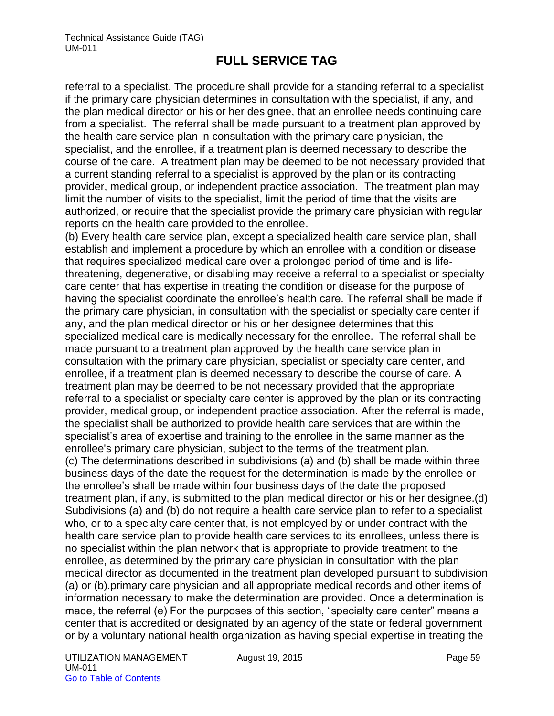referral to a specialist. The procedure shall provide for a standing referral to a specialist if the primary care physician determines in consultation with the specialist, if any, and the plan medical director or his or her designee, that an enrollee needs continuing care from a specialist. The referral shall be made pursuant to a treatment plan approved by the health care service plan in consultation with the primary care physician, the specialist, and the enrollee, if a treatment plan is deemed necessary to describe the course of the care. A treatment plan may be deemed to be not necessary provided that a current standing referral to a specialist is approved by the plan or its contracting provider, medical group, or independent practice association. The treatment plan may limit the number of visits to the specialist, limit the period of time that the visits are authorized, or require that the specialist provide the primary care physician with regular reports on the health care provided to the enrollee.

(b) Every health care service plan, except a specialized health care service plan, shall establish and implement a procedure by which an enrollee with a condition or disease that requires specialized medical care over a prolonged period of time and is lifethreatening, degenerative, or disabling may receive a referral to a specialist or specialty care center that has expertise in treating the condition or disease for the purpose of having the specialist coordinate the enrollee's health care. The referral shall be made if the primary care physician, in consultation with the specialist or specialty care center if any, and the plan medical director or his or her designee determines that this specialized medical care is medically necessary for the enrollee. The referral shall be made pursuant to a treatment plan approved by the health care service plan in consultation with the primary care physician, specialist or specialty care center, and enrollee, if a treatment plan is deemed necessary to describe the course of care. A treatment plan may be deemed to be not necessary provided that the appropriate referral to a specialist or specialty care center is approved by the plan or its contracting provider, medical group, or independent practice association. After the referral is made, the specialist shall be authorized to provide health care services that are within the specialist's area of expertise and training to the enrollee in the same manner as the enrollee's primary care physician, subject to the terms of the treatment plan. (c) The determinations described in subdivisions (a) and (b) shall be made within three business days of the date the request for the determination is made by the enrollee or the enrollee's shall be made within four business days of the date the proposed treatment plan, if any, is submitted to the plan medical director or his or her designee.(d) Subdivisions (a) and (b) do not require a health care service plan to refer to a specialist who, or to a specialty care center that, is not employed by or under contract with the health care service plan to provide health care services to its enrollees, unless there is no specialist within the plan network that is appropriate to provide treatment to the enrollee, as determined by the primary care physician in consultation with the plan medical director as documented in the treatment plan developed pursuant to subdivision (a) or (b).primary care physician and all appropriate medical records and other items of information necessary to make the determination are provided. Once a determination is made, the referral (e) For the purposes of this section, "specialty care center" means a center that is accredited or designated by an agency of the state or federal government or by a voluntary national health organization as having special expertise in treating the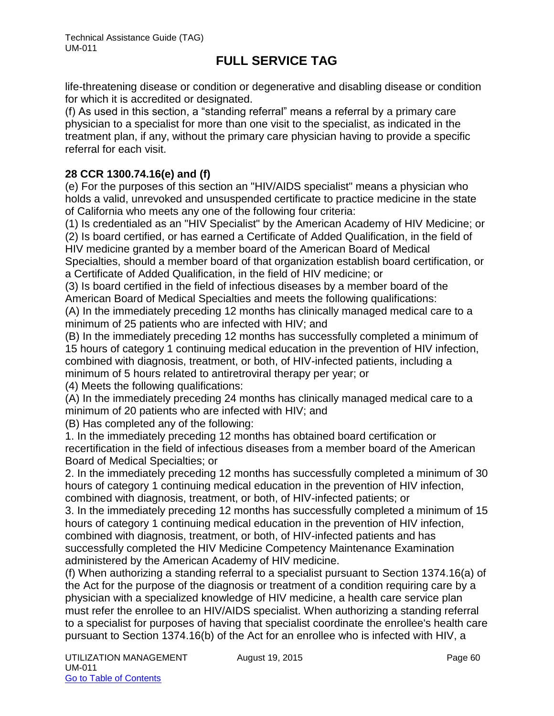life-threatening disease or condition or degenerative and disabling disease or condition for which it is accredited or designated.

(f) As used in this section, a "standing referral" means a referral by a primary care physician to a specialist for more than one visit to the specialist, as indicated in the treatment plan, if any, without the primary care physician having to provide a specific referral for each visit.

## **28 CCR 1300.74.16(e) and (f)**

(e) For the purposes of this section an "HIV/AIDS specialist" means a physician who holds a valid, unrevoked and unsuspended certificate to practice medicine in the state of California who meets any one of the following four criteria:

(1) Is credentialed as an "HIV Specialist" by the American Academy of HIV Medicine; or

(2) Is board certified, or has earned a Certificate of Added Qualification, in the field of HIV medicine granted by a member board of the American Board of Medical Specialties, should a member board of that organization establish board certification, or a Certificate of Added Qualification, in the field of HIV medicine; or

(3) Is board certified in the field of infectious diseases by a member board of the American Board of Medical Specialties and meets the following qualifications:

(A) In the immediately preceding 12 months has clinically managed medical care to a minimum of 25 patients who are infected with HIV; and

(B) In the immediately preceding 12 months has successfully completed a minimum of 15 hours of category 1 continuing medical education in the prevention of HIV infection, combined with diagnosis, treatment, or both, of HIV-infected patients, including a minimum of 5 hours related to antiretroviral therapy per year; or

(4) Meets the following qualifications:

(A) In the immediately preceding 24 months has clinically managed medical care to a minimum of 20 patients who are infected with HIV; and

(B) Has completed any of the following:

1. In the immediately preceding 12 months has obtained board certification or recertification in the field of infectious diseases from a member board of the American Board of Medical Specialties; or

2. In the immediately preceding 12 months has successfully completed a minimum of 30 hours of category 1 continuing medical education in the prevention of HIV infection, combined with diagnosis, treatment, or both, of HIV-infected patients; or

3. In the immediately preceding 12 months has successfully completed a minimum of 15 hours of category 1 continuing medical education in the prevention of HIV infection, combined with diagnosis, treatment, or both, of HIV-infected patients and has successfully completed the HIV Medicine Competency Maintenance Examination administered by the American Academy of HIV medicine.

(f) When authorizing a standing referral to a specialist pursuant to Section 1374.16(a) of the Act for the purpose of the diagnosis or treatment of a condition requiring care by a physician with a specialized knowledge of HIV medicine, a health care service plan must refer the enrollee to an HIV/AIDS specialist. When authorizing a standing referral to a specialist for purposes of having that specialist coordinate the enrollee's health care pursuant to Section 1374.16(b) of the Act for an enrollee who is infected with HIV, a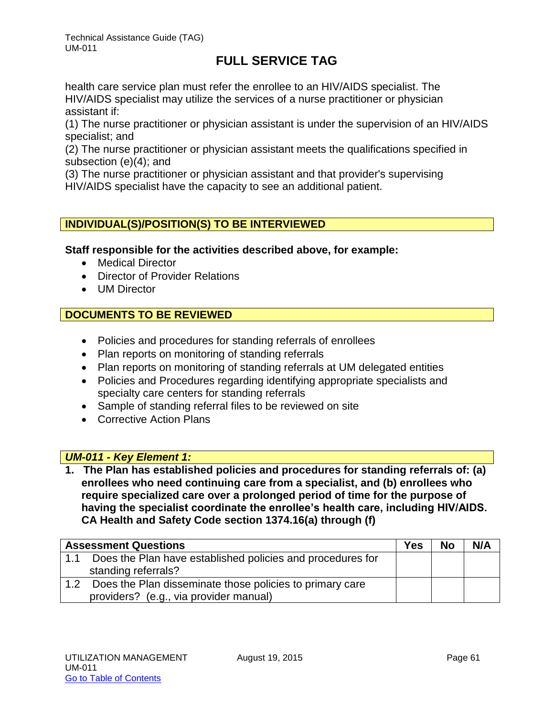Technical Assistance Guide (TAG) UM-011

# **FULL SERVICE TAG**

health care service plan must refer the enrollee to an HIV/AIDS specialist. The HIV/AIDS specialist may utilize the services of a nurse practitioner or physician assistant if:

(1) The nurse practitioner or physician assistant is under the supervision of an HIV/AIDS specialist; and

(2) The nurse practitioner or physician assistant meets the qualifications specified in subsection (e)(4); and

(3) The nurse practitioner or physician assistant and that provider's supervising HIV/AIDS specialist have the capacity to see an additional patient.

## **INDIVIDUAL(S)/POSITION(S) TO BE INTERVIEWED**

### **Staff responsible for the activities described above, for example:**

- Medical Director
- Director of Provider Relations
- UM Director

## **DOCUMENTS TO BE REVIEWED**

- Policies and procedures for standing referrals of enrollees
- Plan reports on monitoring of standing referrals
- Plan reports on monitoring of standing referrals at UM delegated entities
- Policies and Procedures regarding identifying appropriate specialists and specialty care centers for standing referrals
- Sample of standing referral files to be reviewed on site
- Corrective Action Plans

#### *UM-011 - Key Element 1:*

**1. The Plan has established policies and procedures for standing referrals of: (a) enrollees who need continuing care from a specialist, and (b) enrollees who require specialized care over a prolonged period of time for the purpose of having the specialist coordinate the enrollee's health care, including HIV/AIDS. CA Health and Safety Code section 1374.16(a) through (f)** 

| <b>Assessment Questions</b>                                       | <b>Yes</b> | <b>No</b> | N/A |
|-------------------------------------------------------------------|------------|-----------|-----|
| Does the Plan have established policies and procedures for<br>1.1 |            |           |     |
| standing referrals?                                               |            |           |     |
| Does the Plan disseminate those policies to primary care          |            |           |     |
| providers? (e.g., via provider manual)                            |            |           |     |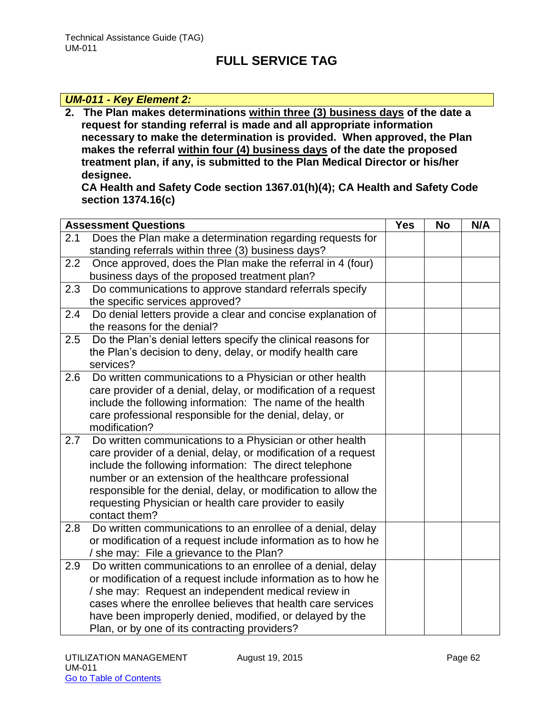#### *UM-011 - Key Element 2:*

**2. The Plan makes determinations within three (3) business days of the date a request for standing referral is made and all appropriate information necessary to make the determination is provided. When approved, the Plan makes the referral within four (4) business days of the date the proposed treatment plan, if any, is submitted to the Plan Medical Director or his/her designee.** 

**CA Health and Safety Code section 1367.01(h)(4); CA Health and Safety Code section 1374.16(c)**

|     | <b>Assessment Questions</b>                                                                                                                                                                                                                                                                                                                                                                  | <b>Yes</b> | <b>No</b> | N/A |
|-----|----------------------------------------------------------------------------------------------------------------------------------------------------------------------------------------------------------------------------------------------------------------------------------------------------------------------------------------------------------------------------------------------|------------|-----------|-----|
| 2.1 | Does the Plan make a determination regarding requests for<br>standing referrals within three (3) business days?                                                                                                                                                                                                                                                                              |            |           |     |
| 2.2 | Once approved, does the Plan make the referral in 4 (four)<br>business days of the proposed treatment plan?                                                                                                                                                                                                                                                                                  |            |           |     |
| 2.3 | Do communications to approve standard referrals specify<br>the specific services approved?                                                                                                                                                                                                                                                                                                   |            |           |     |
| 2.4 | Do denial letters provide a clear and concise explanation of<br>the reasons for the denial?                                                                                                                                                                                                                                                                                                  |            |           |     |
| 2.5 | Do the Plan's denial letters specify the clinical reasons for<br>the Plan's decision to deny, delay, or modify health care<br>services?                                                                                                                                                                                                                                                      |            |           |     |
| 2.6 | Do written communications to a Physician or other health<br>care provider of a denial, delay, or modification of a request<br>include the following information: The name of the health<br>care professional responsible for the denial, delay, or<br>modification?                                                                                                                          |            |           |     |
| 2.7 | Do written communications to a Physician or other health<br>care provider of a denial, delay, or modification of a request<br>include the following information: The direct telephone<br>number or an extension of the healthcare professional<br>responsible for the denial, delay, or modification to allow the<br>requesting Physician or health care provider to easily<br>contact them? |            |           |     |
| 2.8 | Do written communications to an enrollee of a denial, delay<br>or modification of a request include information as to how he<br>/ she may: File a grievance to the Plan?                                                                                                                                                                                                                     |            |           |     |
| 2.9 | Do written communications to an enrollee of a denial, delay<br>or modification of a request include information as to how he<br>/ she may: Request an independent medical review in<br>cases where the enrollee believes that health care services<br>have been improperly denied, modified, or delayed by the<br>Plan, or by one of its contracting providers?                              |            |           |     |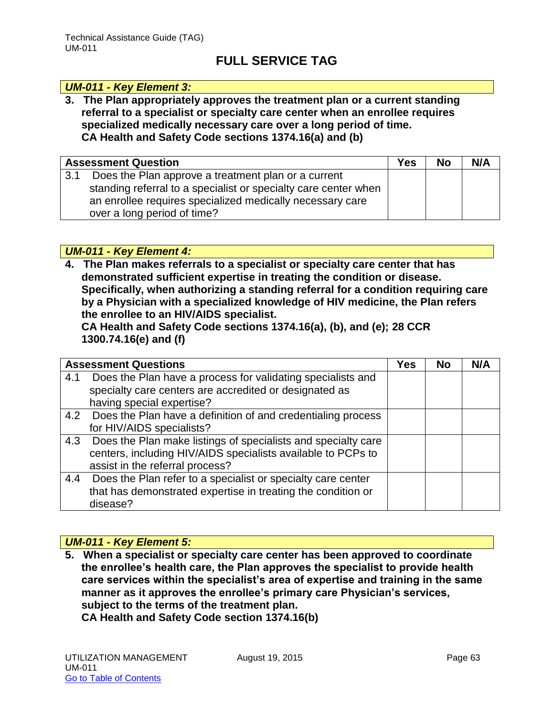#### *UM-011 - Key Element 3:*

**3. The Plan appropriately approves the treatment plan or a current standing referral to a specialist or specialty care center when an enrollee requires specialized medically necessary care over a long period of time. CA Health and Safety Code sections 1374.16(a) and (b)** 

|     | <b>Assessment Question</b>                                      | <b>Yes</b> | <b>No</b> | N/A |
|-----|-----------------------------------------------------------------|------------|-----------|-----|
| 3.1 | Does the Plan approve a treatment plan or a current             |            |           |     |
|     | standing referral to a specialist or specialty care center when |            |           |     |
|     | an enrollee requires specialized medically necessary care       |            |           |     |
|     | over a long period of time?                                     |            |           |     |

*UM-011 - Key Element 4:* 

**4. The Plan makes referrals to a specialist or specialty care center that has demonstrated sufficient expertise in treating the condition or disease. Specifically, when authorizing a standing referral for a condition requiring care by a Physician with a specialized knowledge of HIV medicine, the Plan refers the enrollee to an HIV/AIDS specialist.** 

**CA Health and Safety Code sections 1374.16(a), (b), and (e); 28 CCR 1300.74.16(e) and (f)** 

| <b>Assessment Questions</b>                                          | <b>Yes</b> | <b>No</b> | N/A |
|----------------------------------------------------------------------|------------|-----------|-----|
| Does the Plan have a process for validating specialists and<br>4.1   |            |           |     |
| specialty care centers are accredited or designated as               |            |           |     |
| having special expertise?                                            |            |           |     |
| 4.2 Does the Plan have a definition of and credentialing process     |            |           |     |
| for HIV/AIDS specialists?                                            |            |           |     |
| Does the Plan make listings of specialists and specialty care<br>4.3 |            |           |     |
| centers, including HIV/AIDS specialists available to PCPs to         |            |           |     |
| assist in the referral process?                                      |            |           |     |
| Does the Plan refer to a specialist or specialty care center<br>4.4  |            |           |     |
| that has demonstrated expertise in treating the condition or         |            |           |     |
| disease?                                                             |            |           |     |

## *UM-011 - Key Element 5:*

**5. When a specialist or specialty care center has been approved to coordinate the enrollee's health care, the Plan approves the specialist to provide health care services within the specialist's area of expertise and training in the same manner as it approves the enrollee's primary care Physician's services, subject to the terms of the treatment plan. CA Health and Safety Code section 1374.16(b)**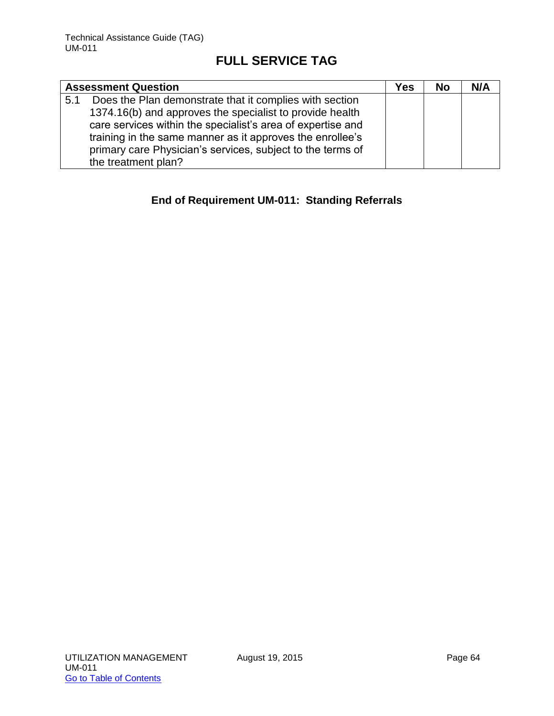|     | <b>Assessment Question</b>                                  | Yes | <b>No</b> | N/A |
|-----|-------------------------------------------------------------|-----|-----------|-----|
| 5.1 | Does the Plan demonstrate that it complies with section     |     |           |     |
|     | 1374.16(b) and approves the specialist to provide health    |     |           |     |
|     | care services within the specialist's area of expertise and |     |           |     |
|     | training in the same manner as it approves the enrollee's   |     |           |     |
|     | primary care Physician's services, subject to the terms of  |     |           |     |
|     | the treatment plan?                                         |     |           |     |

## **End of Requirement UM-011: Standing Referrals**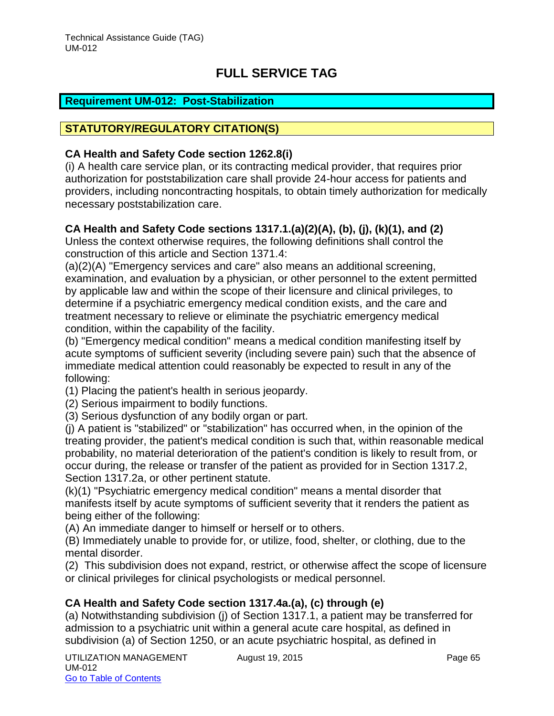#### **STATUTORY/REGULATORY CITATION(S)**

#### **CA Health and Safety Code section 1262.8(i)**

(i) A health care service plan, or its contracting medical provider, that requires prior authorization for poststabilization care shall provide 24-hour access for patients and providers, including noncontracting hospitals, to obtain timely authorization for medically necessary poststabilization care.

### **CA Health and Safety Code sections 1317.1.(a)(2)(A), (b), (j), (k)(1), and (2)**

Unless the context otherwise requires, the following definitions shall control the construction of this article and Section 1371.4:

(a)(2)(A) "Emergency services and care" also means an additional screening, examination, and evaluation by a physician, or other personnel to the extent permitted by applicable law and within the scope of their licensure and clinical privileges, to determine if a psychiatric emergency medical condition exists, and the care and treatment necessary to relieve or eliminate the psychiatric emergency medical condition, within the capability of the facility.

(b) "Emergency medical condition" means a medical condition manifesting itself by acute symptoms of sufficient severity (including severe pain) such that the absence of immediate medical attention could reasonably be expected to result in any of the following:

(1) Placing the patient's health in serious jeopardy.

- (2) Serious impairment to bodily functions.
- (3) Serious dysfunction of any bodily organ or part.

(j) A patient is "stabilized" or "stabilization" has occurred when, in the opinion of the treating provider, the patient's medical condition is such that, within reasonable medical probability, no material deterioration of the patient's condition is likely to result from, or occur during, the release or transfer of the patient as provided for in Section 1317.2, Section 1317.2a, or other pertinent statute.

(k)(1) "Psychiatric emergency medical condition" means a mental disorder that manifests itself by acute symptoms of sufficient severity that it renders the patient as being either of the following:

(A) An immediate danger to himself or herself or to others.

(B) Immediately unable to provide for, or utilize, food, shelter, or clothing, due to the mental disorder.

(2) This subdivision does not expand, restrict, or otherwise affect the scope of licensure or clinical privileges for clinical psychologists or medical personnel.

## **CA Health and Safety Code section 1317.4a.(a), (c) through (e)**

(a) Notwithstanding subdivision (j) of Section 1317.1, a patient may be transferred for admission to a psychiatric unit within a general acute care hospital, as defined in subdivision (a) of Section 1250, or an acute psychiatric hospital, as defined in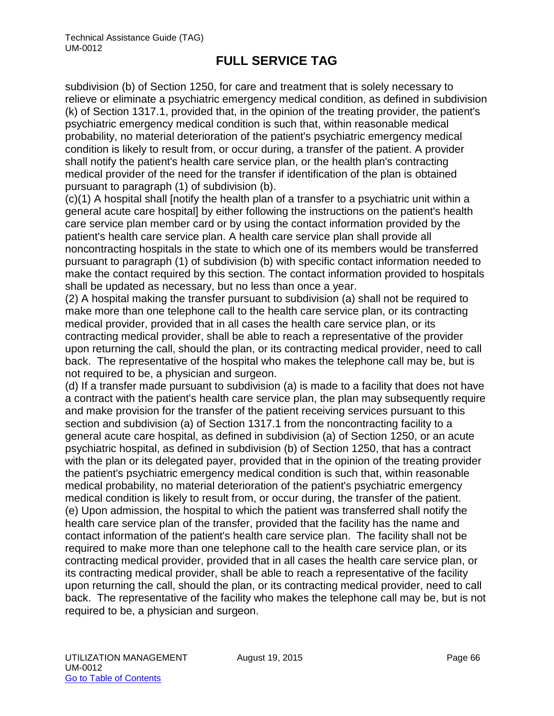subdivision (b) of Section 1250, for care and treatment that is solely necessary to relieve or eliminate a psychiatric emergency medical condition, as defined in subdivision (k) of Section 1317.1, provided that, in the opinion of the treating provider, the patient's psychiatric emergency medical condition is such that, within reasonable medical probability, no material deterioration of the patient's psychiatric emergency medical condition is likely to result from, or occur during, a transfer of the patient. A provider shall notify the patient's health care service plan, or the health plan's contracting medical provider of the need for the transfer if identification of the plan is obtained pursuant to paragraph (1) of subdivision (b).

(c)(1) A hospital shall [notify the health plan of a transfer to a psychiatric unit within a general acute care hospital] by either following the instructions on the patient's health care service plan member card or by using the contact information provided by the patient's health care service plan. A health care service plan shall provide all noncontracting hospitals in the state to which one of its members would be transferred pursuant to paragraph (1) of subdivision (b) with specific contact information needed to make the contact required by this section. The contact information provided to hospitals shall be updated as necessary, but no less than once a year.

(2) A hospital making the transfer pursuant to subdivision (a) shall not be required to make more than one telephone call to the health care service plan, or its contracting medical provider, provided that in all cases the health care service plan, or its contracting medical provider, shall be able to reach a representative of the provider upon returning the call, should the plan, or its contracting medical provider, need to call back. The representative of the hospital who makes the telephone call may be, but is not required to be, a physician and surgeon.

(d) If a transfer made pursuant to subdivision (a) is made to a facility that does not have a contract with the patient's health care service plan, the plan may subsequently require and make provision for the transfer of the patient receiving services pursuant to this section and subdivision (a) of Section 1317.1 from the noncontracting facility to a general acute care hospital, as defined in subdivision (a) of Section 1250, or an acute psychiatric hospital, as defined in subdivision (b) of Section 1250, that has a contract with the plan or its delegated payer, provided that in the opinion of the treating provider the patient's psychiatric emergency medical condition is such that, within reasonable medical probability, no material deterioration of the patient's psychiatric emergency medical condition is likely to result from, or occur during, the transfer of the patient. (e) Upon admission, the hospital to which the patient was transferred shall notify the health care service plan of the transfer, provided that the facility has the name and contact information of the patient's health care service plan. The facility shall not be required to make more than one telephone call to the health care service plan, or its contracting medical provider, provided that in all cases the health care service plan, or its contracting medical provider, shall be able to reach a representative of the facility upon returning the call, should the plan, or its contracting medical provider, need to call back. The representative of the facility who makes the telephone call may be, but is not required to be, a physician and surgeon.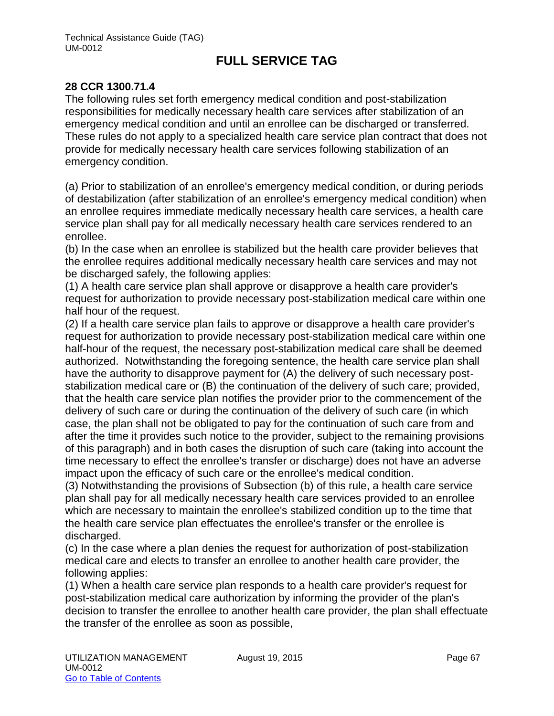#### **28 CCR 1300.71.4**

The following rules set forth emergency medical condition and post-stabilization responsibilities for medically necessary health care services after stabilization of an emergency medical condition and until an enrollee can be discharged or transferred. These rules do not apply to a specialized health care service plan contract that does not provide for medically necessary health care services following stabilization of an emergency condition.

(a) Prior to stabilization of an enrollee's emergency medical condition, or during periods of destabilization (after stabilization of an enrollee's emergency medical condition) when an enrollee requires immediate medically necessary health care services, a health care service plan shall pay for all medically necessary health care services rendered to an enrollee.

(b) In the case when an enrollee is stabilized but the health care provider believes that the enrollee requires additional medically necessary health care services and may not be discharged safely, the following applies:

(1) A health care service plan shall approve or disapprove a health care provider's request for authorization to provide necessary post-stabilization medical care within one half hour of the request.

(2) If a health care service plan fails to approve or disapprove a health care provider's request for authorization to provide necessary post-stabilization medical care within one half-hour of the request, the necessary post-stabilization medical care shall be deemed authorized. Notwithstanding the foregoing sentence, the health care service plan shall have the authority to disapprove payment for (A) the delivery of such necessary poststabilization medical care or (B) the continuation of the delivery of such care; provided, that the health care service plan notifies the provider prior to the commencement of the delivery of such care or during the continuation of the delivery of such care (in which case, the plan shall not be obligated to pay for the continuation of such care from and after the time it provides such notice to the provider, subject to the remaining provisions of this paragraph) and in both cases the disruption of such care (taking into account the time necessary to effect the enrollee's transfer or discharge) does not have an adverse impact upon the efficacy of such care or the enrollee's medical condition.

(3) Notwithstanding the provisions of Subsection (b) of this rule, a health care service plan shall pay for all medically necessary health care services provided to an enrollee which are necessary to maintain the enrollee's stabilized condition up to the time that the health care service plan effectuates the enrollee's transfer or the enrollee is discharged.

(c) In the case where a plan denies the request for authorization of post-stabilization medical care and elects to transfer an enrollee to another health care provider, the following applies:

(1) When a health care service plan responds to a health care provider's request for post-stabilization medical care authorization by informing the provider of the plan's decision to transfer the enrollee to another health care provider, the plan shall effectuate the transfer of the enrollee as soon as possible,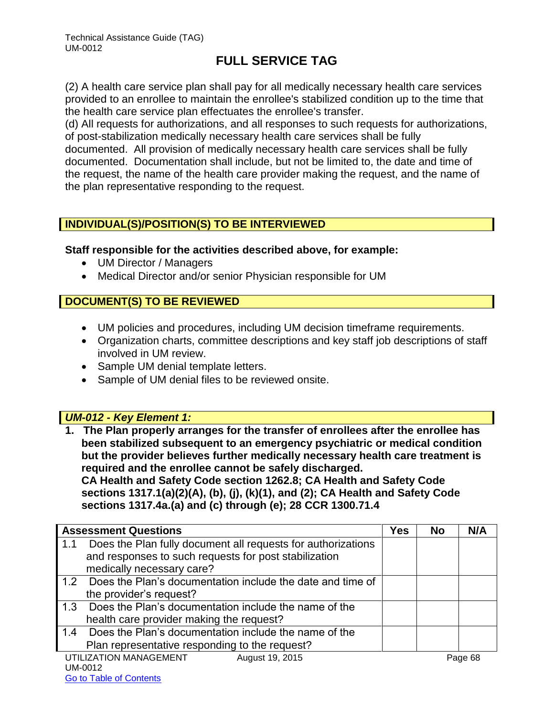(2) A health care service plan shall pay for all medically necessary health care services provided to an enrollee to maintain the enrollee's stabilized condition up to the time that the health care service plan effectuates the enrollee's transfer.

(d) All requests for authorizations, and all responses to such requests for authorizations, of post-stabilization medically necessary health care services shall be fully documented. All provision of medically necessary health care services shall be fully documented. Documentation shall include, but not be limited to, the date and time of the request, the name of the health care provider making the request, and the name of the plan representative responding to the request.

## **INDIVIDUAL(S)/POSITION(S) TO BE INTERVIEWED**

#### **Staff responsible for the activities described above, for example:**

- UM Director / Managers
- Medical Director and/or senior Physician responsible for UM

## **DOCUMENT(S) TO BE REVIEWED**

- UM policies and procedures, including UM decision timeframe requirements.
- Organization charts, committee descriptions and key staff job descriptions of staff involved in UM review.
- Sample UM denial template letters.
- Sample of UM denial files to be reviewed onsite.

## *UM-012 - Key Element 1:*

**1. The Plan properly arranges for the transfer of enrollees after the enrollee has been stabilized subsequent to an emergency psychiatric or medical condition but the provider believes further medically necessary health care treatment is required and the enrollee cannot be safely discharged. CA Health and Safety Code section 1262.8; CA Health and Safety Code sections 1317.1(a)(2)(A), (b), (j), (k)(1), and (2); CA Health and Safety Code sections 1317.4a.(a) and (c) through (e); 28 CCR 1300.71.4**

|                                                                     | Yes |           |     |  |  |
|---------------------------------------------------------------------|-----|-----------|-----|--|--|
| <b>Assessment Questions</b>                                         |     | <b>No</b> | N/A |  |  |
| Does the Plan fully document all requests for authorizations<br>1.1 |     |           |     |  |  |
| and responses to such requests for post stabilization               |     |           |     |  |  |
| medically necessary care?                                           |     |           |     |  |  |
| Does the Plan's documentation include the date and time of<br>1.2   |     |           |     |  |  |
| the provider's request?                                             |     |           |     |  |  |
| Does the Plan's documentation include the name of the<br>1.3        |     |           |     |  |  |
| health care provider making the request?                            |     |           |     |  |  |
| Does the Plan's documentation include the name of the<br>1.4        |     |           |     |  |  |
| Plan representative responding to the request?                      |     |           |     |  |  |
| UTILIZATION MANAGEMENT<br>August 19, 2015                           |     | Page 68   |     |  |  |
| UM-0012                                                             |     |           |     |  |  |